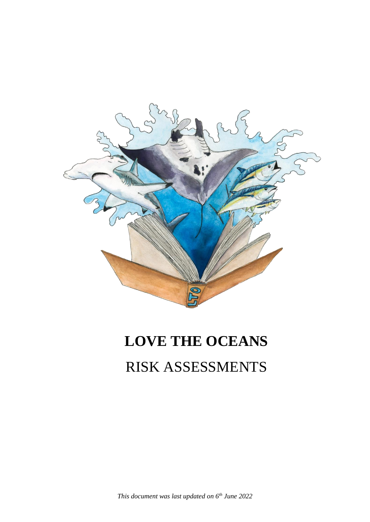

# **LOVE THE OCEANS**

# RISK ASSESSMENTS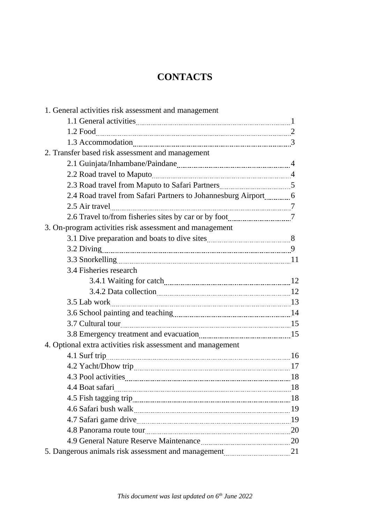# **CONTACTS**

| 1. General activities risk assessment and management        |  |
|-------------------------------------------------------------|--|
|                                                             |  |
|                                                             |  |
|                                                             |  |
| 2. Transfer based risk assessment and management            |  |
|                                                             |  |
|                                                             |  |
|                                                             |  |
|                                                             |  |
|                                                             |  |
|                                                             |  |
| 3. On-program activities risk assessment and management     |  |
|                                                             |  |
|                                                             |  |
|                                                             |  |
| 3.4 Fisheries research                                      |  |
|                                                             |  |
|                                                             |  |
|                                                             |  |
|                                                             |  |
|                                                             |  |
|                                                             |  |
| 4. Optional extra activities risk assessment and management |  |
|                                                             |  |
|                                                             |  |
|                                                             |  |
|                                                             |  |
|                                                             |  |
|                                                             |  |
|                                                             |  |
|                                                             |  |
|                                                             |  |
|                                                             |  |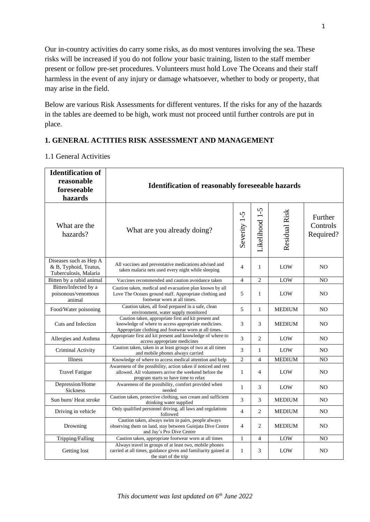Our in-country activities do carry some risks, as do most ventures involving the sea. These risks will be increased if you do not follow your basic training, listen to the staff member present or follow pre-set procedures. Volunteers must hold Love The Oceans and their staff harmless in the event of any injury or damage whatsoever, whether to body or property, that may arise in the field.

Below are various Risk Assessments for different ventures. If the risks for any of the hazards in the tables are deemed to be high, work must not proceed until further controls are put in place.

#### **1. GENERAL ACTITIES RISK ASSESSMENT AND MANAGEMENT**

#### 1.1 General Activities

| <b>Identification of</b><br>reasonable<br>foreseeable<br>hazards         | <b>Identification of reasonably foreseeable hazards</b>                                                                                                             |                |                |               |                                  |
|--------------------------------------------------------------------------|---------------------------------------------------------------------------------------------------------------------------------------------------------------------|----------------|----------------|---------------|----------------------------------|
| What are the<br>hazards?                                                 | What are you already doing?                                                                                                                                         | Severity 1-5   | Likelihood 1-5 | Residual Risk | Further<br>Controls<br>Required? |
| Diseases such as Hep A<br>& B, Typhoid, Teatus,<br>Tuberculosis, Malaria | All vaccines and preventative medications advised and<br>taken malaria nets used every night while sleeping                                                         | $\overline{4}$ | 1              | LOW           | NO.                              |
| Bitten by a rabid animal                                                 | Vaccines recommended and caution avoidance taken                                                                                                                    | $\overline{4}$ | $\overline{2}$ | LOW           | N <sub>O</sub>                   |
| Bitten/Infected by a<br>poisonous/venomous<br>animal                     | Caution taken, medical and evacuation plan known by all<br>Love The Oceans ground staff. Appropriate clothing and<br>footwear worn at all times.                    | 5              | 1              | LOW           | NO.                              |
| Food/Water poisoning                                                     | Caution taken, all food prepared in a safe, clean<br>environment, water supply monitored                                                                            | 5              | $\mathbf{1}$   | <b>MEDIUM</b> | N <sub>O</sub>                   |
| Cuts and Infection                                                       | Caution taken, appropriate first aid kit present and<br>knowledge of where to access appropriate medicines.<br>Appropriate clothing and footwear worn at all times. | 3              | 3              | <b>MEDIUM</b> | N <sub>O</sub>                   |
| Allergies and Asthma                                                     | Appropriate first aid kit present and knowledge of where to<br>access appropriate medicines                                                                         | 3              | $\overline{c}$ | LOW           | NO.                              |
| Criminal Activity                                                        | Caution taken, taken in at least groups of two at all times<br>and mobile phones always carried                                                                     | 3              | $\mathbf{1}$   | LOW           | NO.                              |
| Illness                                                                  | Knowledge of where to access medical attention and help                                                                                                             | $\overline{c}$ | $\overline{4}$ | <b>MEDIUM</b> | NO                               |
| <b>Travel Fatigue</b>                                                    | Awareness of the possibility, action taken if noticed and rest<br>allowed. All volunteers arrive the weekend before the<br>program starts so have time to relax     | $\mathbf{1}$   | $\overline{4}$ | LOW           | NO                               |
| Depression/Home<br><b>Sickness</b>                                       | Awareness of the possibility, comfort provided when<br>needed                                                                                                       | $\mathbf{1}$   | 3              | LOW           | N <sub>O</sub>                   |
| Sun burn/Heat stroke                                                     | Caution taken, protective clothing, sun cream and sufficient<br>drinking water supplied                                                                             | 3              | 3              | <b>MEDIUM</b> | N <sub>O</sub>                   |
| Driving in vehicle                                                       | Only qualified personnel driving, all laws and regulations<br>followed                                                                                              | $\overline{4}$ | $\overline{c}$ | <b>MEDIUM</b> | N <sub>O</sub>                   |
| Drowning                                                                 | Caution taken, always swim in pairs, people always<br>observing them on land, stay between Guinjata Dive Centre<br>and Jay's Pro Dive Centre                        | $\overline{4}$ | $\overline{c}$ | <b>MEDIUM</b> | N <sub>O</sub>                   |
| Tripping/Falling                                                         | Caution taken, appropriate footwear worn at all times                                                                                                               | $\mathbf{1}$   | 4              | LOW           | NO                               |
| Getting lost                                                             | Always travel in groups of at least two, mobile phones<br>carried at all times, guidance given and familiarity gained at<br>the start of the trip                   | $\mathbf{1}$   | 3              | LOW           | NO                               |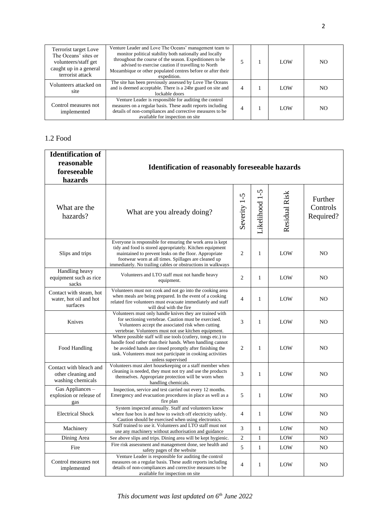| Terrorist target Love<br>The Oceans' sites or<br>volunteers/staff get<br>caught up in a general<br>terrorist attack | Venture Leader and Love The Oceans' management team to<br>monitor political stability both nationally and locally<br>throughout the course of the season. Expeditioners to be<br>advised to exercise caution if travelling to North<br>Mozambique or other populated centres before or after their<br>expedition. |  | LOW        | NO. |
|---------------------------------------------------------------------------------------------------------------------|-------------------------------------------------------------------------------------------------------------------------------------------------------------------------------------------------------------------------------------------------------------------------------------------------------------------|--|------------|-----|
| Volunteers attacked on<br>site                                                                                      | The site has been previously assessed by Love The Oceans<br>and is deemed acceptable. There is a 24hr guard on site and<br>lockable doors                                                                                                                                                                         |  | LOW        | NO. |
| Control measures not<br>implemented                                                                                 | Venture Leader is responsible for auditing the control<br>measures on a regular basis. These audit reports including<br>details of non-compliances and corrective measures to be<br>available for inspection on site                                                                                              |  | <b>LOW</b> | NO. |

#### 1.2 Food

| <b>Identification of</b><br>reasonable<br>foreseeable<br>hazards   | <b>Identification of reasonably foreseeable hazards</b>                                                                                                                                                                                                                                                |                |                |                      |                                  |
|--------------------------------------------------------------------|--------------------------------------------------------------------------------------------------------------------------------------------------------------------------------------------------------------------------------------------------------------------------------------------------------|----------------|----------------|----------------------|----------------------------------|
| What are the<br>hazards?                                           | What are you already doing?                                                                                                                                                                                                                                                                            | Severity 1-5   | Likelihood 1-5 | <b>Residual Risk</b> | Further<br>Controls<br>Required? |
| Slips and trips                                                    | Everyone is responsible for ensuring the work area is kept<br>tidy and food is stored appropriately. Kitchen equipment<br>maintained to prevent leaks on the floor. Appropriate<br>footwear worn at all times. Spillages are cleaned up<br>immediately. No trailing cables or obstructions in walkways | $\overline{2}$ | 1              | LOW                  | NO.                              |
| Handling heavy<br>equipment such as rice<br>sacks                  | Volunteers and LTO staff must not handle heavy<br>equipment.                                                                                                                                                                                                                                           | $\overline{2}$ | $\mathbf{1}$   | LOW                  | N <sub>O</sub>                   |
| Contact with steam, hot<br>water, hot oil and hot<br>surfaces      | Volunteers must not cook and not go into the cooking area<br>when meals are being prepared. In the event of a cooking<br>related fire volunteers must evacuate immediately and staff<br>will deal with the fire                                                                                        | $\overline{4}$ | $\mathbf{1}$   | LOW                  | N <sub>O</sub>                   |
| Knives                                                             | Volunteers must only handle knives they are trained with<br>for sectioning vertebrae. Caution must be exercised.<br>Volunteers accept the associated risk when cutting<br>vertebrae. Volunteers must not use kitchen equipment.                                                                        | 3              | 1              | LOW                  | N <sub>O</sub>                   |
| Food Handling                                                      | Where possible staff will use tools (cutlery, tongs etc.) to<br>handle food rather than their hands. When handling cannot<br>be avoided hands are rinsed promptly after finishing the<br>task. Volunteers must not participate in cooking activities<br>unless supervised                              | $\overline{2}$ | 1              | LOW                  | NO.                              |
| Contact with bleach and<br>other cleaning and<br>washing chemicals | Volunteers must alert housekeeping or a staff member when<br>cleaning is needed, they must not try and use the products<br>themselves. Appropriate protection will be worn when<br>handling chemicals.                                                                                                 | 3              | 1              | LOW                  | NO.                              |
| Gas Appliances -<br>explosion or release of<br>gas                 | Inspection, service and test carried out every 12 months.<br>Emergency and evacuation procedures in place as well as a<br>fire plan                                                                                                                                                                    | 5              | 1              | LOW                  | N <sub>O</sub>                   |
| <b>Electrical Shock</b>                                            | System inspected annually. Staff and volunteers know<br>where fuse box is and how to switch off electricity safely.<br>Caution should be exercised when using electronics.                                                                                                                             | $\overline{4}$ | $\mathbf{1}$   | LOW                  | N <sub>O</sub>                   |
| Machinery                                                          | Staff trained to use it. Volunteers and LTO staff must not<br>use any machinery without authorisation and guidance                                                                                                                                                                                     | 3              | $\mathbf{1}$   | $_{\text{LOW}}$      | NO                               |
| Dining Area                                                        | See above slips and trips. Dining area will be kept hygienic.                                                                                                                                                                                                                                          | $\sqrt{2}$     | $\mathbf{1}$   | LOW                  | N <sub>O</sub>                   |
| Fire                                                               | Fire risk assessment and management done, see health and<br>safety pages of the website                                                                                                                                                                                                                | 5              | $\mathbf{1}$   | LOW                  | NO                               |
| Control measures not<br>implemented                                | Venture Leader is responsible for auditing the control<br>measures on a regular basis. These audit reports including<br>details of non-compliances and corrective measures to be<br>available for inspection on site                                                                                   | $\overline{4}$ | 1              | LOW                  | NO                               |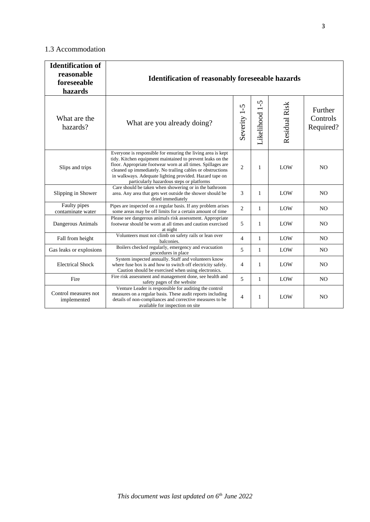#### 1.3 Accommodation

| <b>Identification of</b><br>reasonable<br>foreseeable<br>hazards | <b>Identification of reasonably foreseeable hazards</b>                                                                                                                                                                                                                                                                                                          |                |                |                      |                                  |
|------------------------------------------------------------------|------------------------------------------------------------------------------------------------------------------------------------------------------------------------------------------------------------------------------------------------------------------------------------------------------------------------------------------------------------------|----------------|----------------|----------------------|----------------------------------|
| What are the<br>hazards?                                         | What are you already doing?                                                                                                                                                                                                                                                                                                                                      | Severity 1-5   | Likelihood 1-5 | <b>Residual Risk</b> | Further<br>Controls<br>Required? |
| Slips and trips                                                  | Everyone is responsible for ensuring the living area is kept<br>tidy. Kitchen equipment maintained to prevent leaks on the<br>floor. Appropriate footwear worn at all times. Spillages are<br>cleaned up immediately. No trailing cables or obstructions<br>in walkways. Adequate lighting provided. Hazard tape on<br>particularly hazardous steps or platforms | $\overline{2}$ | 1              | LOW                  | N <sub>O</sub>                   |
| Slipping in Shower                                               | Care should be taken when showering or in the bathroom<br>area. Any area that gets wet outside the shower should be<br>dried immediately                                                                                                                                                                                                                         | 3              | $\mathbf{1}$   | LOW                  | N <sub>O</sub>                   |
| Faulty pipes<br>contaminate water                                | Pipes are inspected on a regular basis. If any problem arises<br>some areas may be off limits for a certain amount of time                                                                                                                                                                                                                                       | $\overline{2}$ | 1              | LOW                  | N <sub>O</sub>                   |
| Dangerous Animals                                                | Please see dangerous animals risk assessment. Appropriate<br>footwear should be worn at all times and caution exercised<br>at night                                                                                                                                                                                                                              | 5              | 1              | LOW                  | N <sub>O</sub>                   |
| Fall from height                                                 | Volunteers must not climb on safety rails or lean over<br>balconies.                                                                                                                                                                                                                                                                                             | $\overline{4}$ | 1              | LOW                  | N <sub>O</sub>                   |
| Gas leaks or explosions                                          | Boilers checked regularly, emergency and evacuation<br>procedures in place                                                                                                                                                                                                                                                                                       | 5              | 1              | LOW                  | N <sub>O</sub>                   |
| <b>Electrical Shock</b>                                          | System inspected annually. Staff and volunteers know<br>where fuse box is and how to switch off electricity safely.<br>Caution should be exercised when using electronics.                                                                                                                                                                                       | $\overline{4}$ | 1              | LOW                  | N <sub>O</sub>                   |
| Fire                                                             | Fire risk assessment and management done, see health and<br>safety pages of the website                                                                                                                                                                                                                                                                          | 5              | $\mathbf{1}$   | LOW                  | N <sub>O</sub>                   |
| Control measures not<br>implemented                              | Venture Leader is responsible for auditing the control<br>measures on a regular basis. These audit reports including<br>details of non-compliances and corrective measures to be<br>available for inspection on site                                                                                                                                             | $\overline{4}$ | 1              | LOW                  | N <sub>O</sub>                   |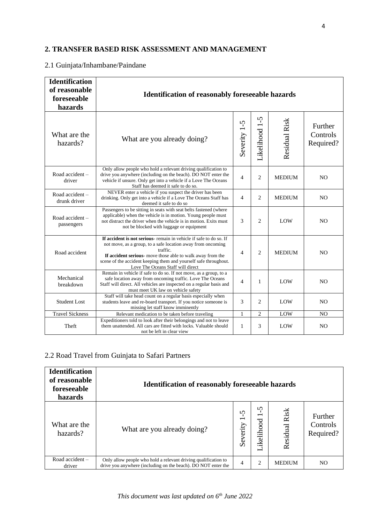### **2. TRANSFER BASED RISK ASSESSMENT AND MANAGEMENT**

#### 2.1 Guinjata/Inhambane/Paindane

| <b>Identification</b><br>of reasonable<br>foreseeable<br>hazards | <b>Identification of reasonably foreseeable hazards</b>                                                                                                                                                                                                                                                              |                |                |               |                                  |
|------------------------------------------------------------------|----------------------------------------------------------------------------------------------------------------------------------------------------------------------------------------------------------------------------------------------------------------------------------------------------------------------|----------------|----------------|---------------|----------------------------------|
| What are the<br>hazards?                                         | What are you already doing?                                                                                                                                                                                                                                                                                          | Severity 1-5   | Likelihood 1-5 | Residual Risk | Further<br>Controls<br>Required? |
| Road accident-<br>driver                                         | Only allow people who hold a relevant driving qualification to<br>drive you anywhere (including on the beach). DO NOT enter the<br>vehicle if unsure. Only get into a vehicle if a Love The Oceans<br>Staff has deemed it safe to do so.                                                                             | $\overline{4}$ | $\overline{2}$ | <b>MEDIUM</b> | N <sub>O</sub>                   |
| Road accident -<br>drunk driver                                  | NEVER enter a vehicle if you suspect the driver has been<br>drinking. Only get into a vehicle if a Love The Oceans Staff has<br>deemed it safe to do so                                                                                                                                                              | $\overline{4}$ | $\overline{2}$ | <b>MEDIUM</b> | N <sub>O</sub>                   |
| Road accident -<br>passengers                                    | Passengers to be sitting in seats with seat belts fastened (where<br>applicable) when the vehicle is in motion. Young people must<br>not distract the driver when the vehicle is in motion. Exits must<br>not be blocked with luggage or equipment                                                                   | 3              | $\overline{2}$ | LOW           | N <sub>O</sub>                   |
| Road accident                                                    | If accident is not serious- remain in vehicle if safe to do so. If<br>not move, as a group, to a safe location away from oncoming<br>traffic.<br>If accident serious- move those able to walk away from the<br>scene of the accident keeping them and yourself safe throughout.<br>Love The Oceans Staff will direct | $\overline{4}$ | $\overline{2}$ | <b>MEDIUM</b> | N <sub>O</sub>                   |
| Mechanical<br>breakdown                                          | Remain in vehicle if safe to do so. If not move, as a group, to a<br>safe location away from oncoming traffic. Love The Oceans<br>Staff will direct. All vehicles are inspected on a regular basis and<br>must meet UK law on vehicle safety                                                                         | $\overline{4}$ | 1              | LOW           | N <sub>O</sub>                   |
| <b>Student Lost</b>                                              | Staff will take head count on a regular basis especially when<br>students leave and re-board transport. If you notice someone is<br>missing let staff know imminently                                                                                                                                                | 3              | $\overline{c}$ | LOW           | N <sub>O</sub>                   |
| <b>Travel Sickness</b>                                           | Relevant medication to be taken before traveling                                                                                                                                                                                                                                                                     | 1              | $\overline{c}$ | LOW           | N <sub>O</sub>                   |
| Theft                                                            | Expeditioners told to look after their belongings and not to leave<br>them unattended. All cars are fitted with locks. Valuable should<br>not be left in clear view                                                                                                                                                  | $\mathbf{1}$   | 3              | LOW           | N <sub>O</sub>                   |

#### 2.2 Road Travel from Guinjata to Safari Partners

| <b>Identification</b><br>of reasonable<br>foreseeable<br>hazards | <b>Identification of reasonably foreseeable hazards</b>                                                                         |                                           |                                            |                  |                                  |
|------------------------------------------------------------------|---------------------------------------------------------------------------------------------------------------------------------|-------------------------------------------|--------------------------------------------|------------------|----------------------------------|
| What are the<br>hazards?                                         | What are you already doing?                                                                                                     | n<br>$\overline{\phantom{0}}$<br>Severity | S<br>$\overline{\phantom{0}}$<br>ikelihood | Risk<br>Residual | Further<br>Controls<br>Required? |
| Road accident $-$<br>driver                                      | Only allow people who hold a relevant driving qualification to<br>drive you anywhere (including on the beach). DO NOT enter the | 4                                         | 2                                          | <b>MEDIUM</b>    | N <sub>O</sub>                   |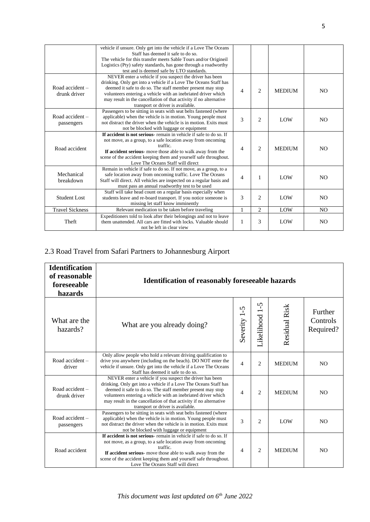|                                   | vehicle if unsure. Only get into the vehicle if a Love The Oceans<br>Staff has deemed it safe to do so.<br>The vehicle for this transfer meets Sable Tours and/or Origineil<br>Logistics (Pty) safety standards, has gone through a roadworthy<br>test and is deemed safe by LTO standards.                                                                           |                |                |               |                |
|-----------------------------------|-----------------------------------------------------------------------------------------------------------------------------------------------------------------------------------------------------------------------------------------------------------------------------------------------------------------------------------------------------------------------|----------------|----------------|---------------|----------------|
| Road accident $-$<br>drunk driver | NEVER enter a vehicle if you suspect the driver has been<br>drinking. Only get into a vehicle if a Love The Oceans Staff has<br>deemed it safe to do so. The staff member present may stop<br>volunteers entering a vehicle with an inebriated driver which<br>may result in the cancellation of that activity if no alternative<br>transport or driver is available. | 4              | $\overline{2}$ | <b>MEDIUM</b> | N <sub>O</sub> |
| Road accident -<br>passengers     | Passengers to be sitting in seats with seat belts fastened (where<br>applicable) when the vehicle is in motion. Young people must<br>not distract the driver when the vehicle is in motion. Exits must<br>not be blocked with luggage or equipment                                                                                                                    | 3              | $\overline{c}$ | LOW           | NO.            |
| Road accident                     | If accident is not serious- remain in vehicle if safe to do so. If<br>not move, as a group, to a safe location away from oncoming<br>traffic.<br>If accident serious- move those able to walk away from the<br>scene of the accident keeping them and yourself safe throughout.<br>Love The Oceans Staff will direct                                                  | $\overline{4}$ | $\overline{2}$ | <b>MEDIUM</b> | NO.            |
| Mechanical<br>breakdown           | Remain in vehicle if safe to do so. If not move, as a group, to a<br>safe location away from oncoming traffic. Love The Oceans<br>Staff will direct. All vehicles are inspected on a regular basis and<br>must pass an annual roadworthy test to be used                                                                                                              | $\overline{4}$ | 1              | LOW           | N <sub>O</sub> |
| <b>Student Lost</b>               | Staff will take head count on a regular basis especially when<br>students leave and re-board transport. If you notice someone is<br>missing let staff know imminently                                                                                                                                                                                                 | 3              | 2              | LOW           | NO.            |
| <b>Travel Sickness</b>            | Relevant medication to be taken before traveling                                                                                                                                                                                                                                                                                                                      | 1              | 2              | LOW           | N <sub>O</sub> |
| Theft                             | Expeditioners told to look after their belongings and not to leave<br>them unattended. All cars are fitted with locks. Valuable should<br>not be left in clear view                                                                                                                                                                                                   | 1              | 3              | LOW           | N <sub>O</sub> |

# 2.3 Road Travel from Safari Partners to Johannesburg Airport

| <b>Identification</b><br>of reasonable<br>foreseeable<br>hazards | <b>Identification of reasonably foreseeable hazards</b>                                                                                                                                                                                                                                                                                                               |                          |                    |               |                                  |
|------------------------------------------------------------------|-----------------------------------------------------------------------------------------------------------------------------------------------------------------------------------------------------------------------------------------------------------------------------------------------------------------------------------------------------------------------|--------------------------|--------------------|---------------|----------------------------------|
| What are the<br>hazards?                                         | What are you already doing?                                                                                                                                                                                                                                                                                                                                           | $\Omega$<br>Severity 1   | ှိ<br>Likelihood 1 | Residual Risk | Further<br>Controls<br>Required? |
| Road accident $-$<br>driver                                      | Only allow people who hold a relevant driving qualification to<br>drive you anywhere (including on the beach). DO NOT enter the<br>vehicle if unsure. Only get into the vehicle if a Love The Oceans<br>Staff has deemed it safe to do so.                                                                                                                            | $\overline{\mathcal{L}}$ | $\overline{c}$     | <b>MEDIUM</b> | N <sub>O</sub>                   |
| Road accident $-$<br>drunk driver                                | NEVER enter a vehicle if you suspect the driver has been<br>drinking. Only get into a vehicle if a Love The Oceans Staff has<br>deemed it safe to do so. The staff member present may stop<br>volunteers entering a vehicle with an inebriated driver which<br>may result in the cancellation of that activity if no alternative<br>transport or driver is available. | $\overline{\mathcal{L}}$ | 2                  | <b>MEDIUM</b> | N <sub>O</sub>                   |
| Road accident -<br>passengers                                    | Passengers to be sitting in seats with seat belts fastened (where<br>applicable) when the vehicle is in motion. Young people must<br>not distract the driver when the vehicle is in motion. Exits must<br>not be blocked with luggage or equipment                                                                                                                    | 3                        | 2                  | LOW           | N <sub>O</sub>                   |
| Road accident                                                    | If accident is not serious-remain in vehicle if safe to do so. If<br>not move, as a group, to a safe location away from oncoming<br>traffic.<br>If accident serious- move those able to walk away from the<br>scene of the accident keeping them and yourself safe throughout.<br>Love The Oceans Staff will direct                                                   | 4                        | $\overline{c}$     | <b>MEDIUM</b> | N <sub>O</sub>                   |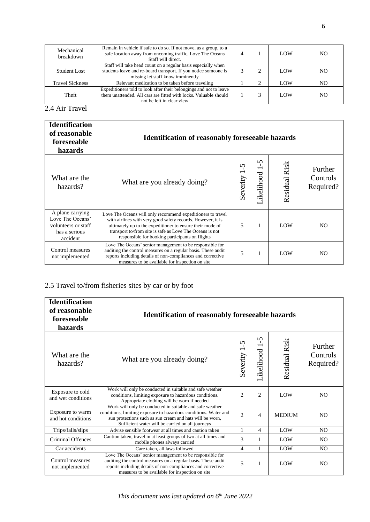| Mechanical<br>breakdown | Remain in vehicle if safe to do so. If not move, as a group, to a<br>safe location away from oncoming traffic. Love The Oceans<br>Staff will direct.                  |  | LOW | NO. |
|-------------------------|-----------------------------------------------------------------------------------------------------------------------------------------------------------------------|--|-----|-----|
| <b>Student Lost</b>     | Staff will take head count on a regular basis especially when<br>students leave and re-board transport. If you notice someone is<br>missing let staff know imminently |  | LOW | NO. |
| <b>Travel Sickness</b>  | Relevant medication to be taken before traveling                                                                                                                      |  | LOW | NΟ  |
| Theft                   | Expeditioners told to look after their belongings and not to leave<br>them unattended. All cars are fitted with locks. Valuable should<br>not be left in clear view   |  | LOW | NO. |

2.4 Air Travel

| <b>Identification</b><br>of reasonable<br>foreseeable<br>hazards                         | <b>Identification of reasonably foreseeable hazards</b>                                                                                                                                                                                                                                                |               |                                                    |               |                                  |
|------------------------------------------------------------------------------------------|--------------------------------------------------------------------------------------------------------------------------------------------------------------------------------------------------------------------------------------------------------------------------------------------------------|---------------|----------------------------------------------------|---------------|----------------------------------|
| What are the<br>hazards?                                                                 | What are you already doing?                                                                                                                                                                                                                                                                            | ഗ<br>Severity | $\Omega$<br>$\overline{\phantom{0}}$<br>Likelihood | Residual Risk | Further<br>Controls<br>Required? |
| A plane carrying<br>Love The Oceans'<br>volunteers or staff<br>has a serious<br>accident | Love The Oceans will only recommend expeditioners to travel<br>with airlines with very good safety records. However, it is<br>ultimately up to the expeditioner to ensure their mode of<br>transport to/from site is safe as Love The Oceans is not<br>responsible for booking participants on flights | 5             | 1                                                  | LOW           | NO.                              |
| Control measures<br>not implemented                                                      | Love The Oceans' senior management to be responsible for<br>auditing the control measures on a regular basis. These audit<br>reports including details of non-compliances and corrective<br>measures to be available for inspection on site                                                            | 5             | 1                                                  | LOW           | NO.                              |

# 2.5 Travel to/from fisheries sites by car or by foot

| <b>Identification</b><br>of reasonable<br>foreseeable<br>hazards | <b>Identification of reasonably foreseeable hazards</b>                                                                                                                                                                                      |                          |                                                        |               |                                  |
|------------------------------------------------------------------|----------------------------------------------------------------------------------------------------------------------------------------------------------------------------------------------------------------------------------------------|--------------------------|--------------------------------------------------------|---------------|----------------------------------|
| What are the<br>hazards?                                         | What are you already doing?                                                                                                                                                                                                                  | $\mathsf{S}$<br>Severity | $\mathbf{v}$<br>$\overline{\phantom{0}}$<br>Likelihood | Residual Risk | Further<br>Controls<br>Required? |
| Exposure to cold<br>and wet conditions                           | Work will only be conducted in suitable and safe weather<br>conditions, limiting exposure to hazardous conditions.<br>Appropriate clothing will be worn if needed                                                                            | $\overline{c}$           | 2                                                      | LOW           | N <sub>O</sub>                   |
| Exposure to warm<br>and hot conditions                           | Work will only be conducted in suitable and safe weather<br>conditions, limiting exposure to hazardous conditions. Water and<br>sun protections such as sun cream and hats will be worn,<br>Sufficient water will be carried on all journeys | $\overline{2}$           | $\overline{4}$                                         | <b>MEDIUM</b> | N <sub>O</sub>                   |
| Trips/falls/slips                                                | Advise sensible footwear at all times and caution taken                                                                                                                                                                                      | 1                        | $\overline{4}$                                         | LOW           | N <sub>O</sub>                   |
| <b>Criminal Offences</b>                                         | Caution taken, travel in at least groups of two at all times and<br>mobile phones always carried                                                                                                                                             | 3                        | 1                                                      | LOW           | N <sub>O</sub>                   |
| Car accidents                                                    | Care taken, all laws followed                                                                                                                                                                                                                | 4                        | 1                                                      | LOW           | N <sub>O</sub>                   |
| Control measures<br>not implemented                              | Love The Oceans' senior management to be responsible for<br>auditing the control measures on a regular basis. These audit<br>reports including details of non-compliances and corrective<br>measures to be available for inspection on site  | 5                        | $\mathbf{1}$                                           | LOW           | N <sub>O</sub>                   |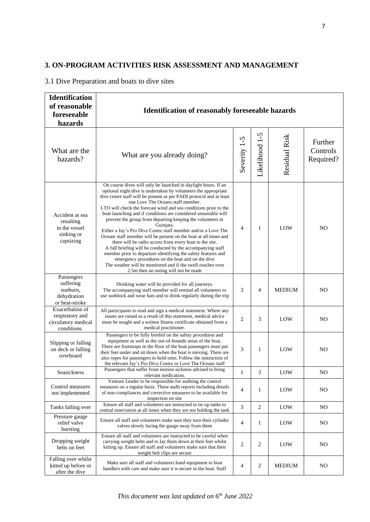#### **3. ON-PROGRAM ACTIVITIES RISK ASSESSMENT AND MANAGEMENT**

#### 3.1 Dive Preparation and boats to dive sites

| <b>Identification</b><br>of reasonable<br>foreseeable<br>hazards         | <b>Identification of reasonably foreseeable hazards</b>                                                                                                                                                                                                                                                                                                                                                                                                                                                                                                                                                                                                                                                                                                                                                                                                                                                                                                    |                |                |               |                                  |
|--------------------------------------------------------------------------|------------------------------------------------------------------------------------------------------------------------------------------------------------------------------------------------------------------------------------------------------------------------------------------------------------------------------------------------------------------------------------------------------------------------------------------------------------------------------------------------------------------------------------------------------------------------------------------------------------------------------------------------------------------------------------------------------------------------------------------------------------------------------------------------------------------------------------------------------------------------------------------------------------------------------------------------------------|----------------|----------------|---------------|----------------------------------|
| What are the<br>hazards?                                                 | What are you already doing?                                                                                                                                                                                                                                                                                                                                                                                                                                                                                                                                                                                                                                                                                                                                                                                                                                                                                                                                | Severity 1-5   | Likelihood 1-5 | Residual Risk | Further<br>Controls<br>Required? |
| Accident at sea<br>resulting<br>in the vessel<br>sinking or<br>capsizing | On course dives will only be launched in daylight hours. If an<br>optional night dive is undertaken by volunteers the appropriate<br>dive centre staff will be present as per PADI protocol and at least<br>one Love The Oceans staff member.<br>LTO will check the forecast wind and sea conditions prior to the<br>boat launching and if conditions are considered unsuitable will<br>prevent the group from departing keeping the volunteers in<br>Guinjata.<br>Either a Jay's Pro Dive Centre staff member and/or a Love The<br>Oceans staff member will be present on the boat at all times and<br>there will be radio access from every boat to the site.<br>A full briefing will be conducted by the accompanying staff<br>member prior to departure identifying the safety features and<br>emergency procedures on the boat and on the dive<br>The weather will be monitored and if the swell reaches over<br>2.5m then an outing will not be made | 4              | 1              | LOW           | N <sub>O</sub>                   |
| Passengers<br>suffering<br>sunburn,<br>dehydration<br>or heat-stroke     | Drinking water will be provided for all journeys.<br>The accompanying staff member will remind all volunteers to<br>use sunblock and wear hats and to drink regularly during the trip                                                                                                                                                                                                                                                                                                                                                                                                                                                                                                                                                                                                                                                                                                                                                                      | 3              | 4              | <b>MEDIUM</b> | N <sub>O</sub>                   |
| Exacerbation of<br>respiratory and<br>circulatory medical<br>conditions. | All participants to read and sign a medical statement. Where any<br>issues are raised as a result of this statement, medical advice<br>must be sought and a written fitness certificate obtained from a<br>medical practitioner.                                                                                                                                                                                                                                                                                                                                                                                                                                                                                                                                                                                                                                                                                                                           | $\overline{c}$ | 3              | LOW           | NO                               |
| Slipping or falling<br>on deck or falling<br>overboard                   | Passengers to be fully briefed on the safety procedures and<br>equipment as well as the out-of-bounds areas of the boat.<br>There are footstraps in the floor of the boat passengers must put<br>their feet under and sit down when the boat is moving. There are<br>also ropes for passengers to hold onto. Follow the instruction of<br>the relevant Jay's Pro Dive Centre or Love The Oceans staff                                                                                                                                                                                                                                                                                                                                                                                                                                                                                                                                                      | 3              | 1              | LOW           | N <sub>O</sub>                   |
| Seasickness                                                              | Passengers that suffer from motion sickness advised to bring<br>relevant medication.                                                                                                                                                                                                                                                                                                                                                                                                                                                                                                                                                                                                                                                                                                                                                                                                                                                                       | 1              | 3              | LOW           | NO                               |
| Control measures<br>not implemented                                      | Venture Leader to be responsible for auditing the control<br>measures on a regular basis. These audit reports including details<br>of non-compliances and corrective measures to be available for<br>inspection on site                                                                                                                                                                                                                                                                                                                                                                                                                                                                                                                                                                                                                                                                                                                                    | 4              | 1              | LOW           | NO                               |
| Tanks falling over                                                       | Ensure all staff and volunteers are instructed to tie up tanks to<br>central reservation at all times when they are not holding the tank                                                                                                                                                                                                                                                                                                                                                                                                                                                                                                                                                                                                                                                                                                                                                                                                                   | 3              | $\overline{c}$ | LOW           | N <sub>O</sub>                   |
| Pressure gauge<br>relief valve<br>bursting                               | Ensure all staff and volunteers make sure they turn their cylinder<br>valves slowly facing the gauge away from them                                                                                                                                                                                                                                                                                                                                                                                                                                                                                                                                                                                                                                                                                                                                                                                                                                        | 4              | 1              | LOW           | N <sub>O</sub>                   |
| Dropping weight<br>belts on feet                                         | Ensure all staff and volunteers are instructed to be careful when<br>carrying weight belts and to lay them down at their feet whilst<br>kitting up. Ensure all staff and volunteers make sure that their<br>weight belt clips are secure                                                                                                                                                                                                                                                                                                                                                                                                                                                                                                                                                                                                                                                                                                                   | 2              | 2              | LOW           | N <sub>O</sub>                   |
| Falling over whilst<br>kitted up before or<br>after the dive             | Make sure all staff and volunteers hand equipment to boat<br>handlers with care and make sure it is secure in the boat. Staff                                                                                                                                                                                                                                                                                                                                                                                                                                                                                                                                                                                                                                                                                                                                                                                                                              | 4              | $\sqrt{2}$     | <b>MEDIUM</b> | N <sub>O</sub>                   |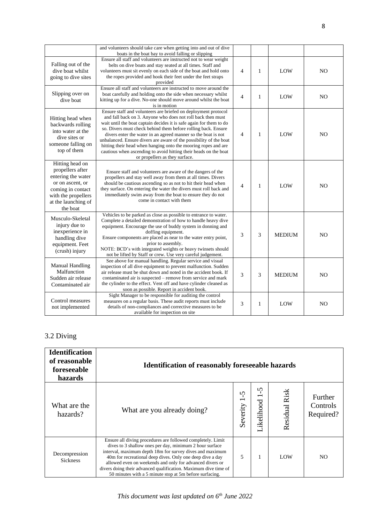|                                                                                                                                                              | and volunteers should take care when getting into and out of dive<br>boats in the boat bay to avoid falling or slipping                                                                                                                                                                                                                                                                                                                                                                                                                                                              |                |              |               |                |
|--------------------------------------------------------------------------------------------------------------------------------------------------------------|--------------------------------------------------------------------------------------------------------------------------------------------------------------------------------------------------------------------------------------------------------------------------------------------------------------------------------------------------------------------------------------------------------------------------------------------------------------------------------------------------------------------------------------------------------------------------------------|----------------|--------------|---------------|----------------|
| Falling out of the<br>dive boat whilst<br>going to dive sites                                                                                                | Ensure all staff and volunteers are instructed not to wear weight<br>belts on dive boats and stay seated at all times. Staff and<br>volunteers must sit evenly on each side of the boat and hold onto<br>the ropes provided and hook their feet under the feet straps<br>provided                                                                                                                                                                                                                                                                                                    | $\overline{4}$ | 1            | LOW           | N <sub>O</sub> |
| Slipping over on<br>dive boat                                                                                                                                | Ensure all staff and volunteers are instructed to move around the<br>boat carefully and holding onto the side when necessary whilst<br>kitting up for a dive. No-one should move around whilst the boat<br>is in motion                                                                                                                                                                                                                                                                                                                                                              | $\overline{4}$ | $\mathbf{1}$ | LOW           | NO.            |
| Hitting head when<br>backwards rolling<br>into water at the<br>dive sites or<br>someone falling on<br>top of them                                            | Ensure staff and volunteers are briefed on deployment protocol<br>and fall back on 3. Anyone who does not roll back then must<br>wait until the boat captain decides it is safe again for them to do<br>so. Divers must check behind them before rolling back. Ensure<br>divers enter the water in an agreed manner so the boat is not<br>unbalanced. Ensure divers are aware of the possibility of the boat<br>hitting their head when hanging onto the mooring ropes and are<br>cautious when ascending to avoid hitting their heads on the boat<br>or propellers as they surface. | $\overline{4}$ | $\mathbf{1}$ | LOW           | N <sub>O</sub> |
| Hitting head on<br>propellers after<br>entering the water<br>or on ascent, or<br>coming in contact<br>with the propellers<br>at the launching of<br>the boat | Ensure staff and volunteers are aware of the dangers of the<br>propellers and stay well away from them at all times. Divers<br>should be cautious ascending so as not to hit their head when<br>they surface. On entering the water the divers must roll back and<br>immediately swim away from the boat to ensure they do not<br>come in contact with them                                                                                                                                                                                                                          | $\overline{4}$ | $\mathbf{1}$ | LOW           | N <sub>O</sub> |
| Musculo-Skeletal<br>injury due to<br>inexperience in<br>handling dive<br>equipment. Feet<br>(crush) injury                                                   | Vehicles to be parked as close as possible to entrance to water.<br>Complete a detailed demonstration of how to handle heavy dive<br>equipment. Encourage the use of buddy system in donning and<br>doffing equipment.<br>Ensure components are placed as near to the water entry point,<br>prior to assembly.<br>NOTE: BCD's with integrated weights or heavy twinsets should<br>not be lifted by Staff or crew. Use very careful judgement.                                                                                                                                        | 3              | 3            | <b>MEDIUM</b> | NO             |
| <b>Manual Handling</b><br>Malfunction<br>Sudden air release<br>Contaminated air                                                                              | See above for manual handling. Regular service and visual<br>inspection of all dive equipment to prevent malfunction. Sudden<br>air release must be shut down and noted in the accident book. If<br>contaminated air is suspected – remove from service and mark<br>the cylinder to the effect. Vent off and have cylinder cleaned as<br>soon as possible. Report in accident book.                                                                                                                                                                                                  | 3              | 3            | <b>MEDIUM</b> | NO.            |
| Control measures<br>not implemented                                                                                                                          | Sight Manager to be responsible for auditing the control<br>measures on a regular basis. These audit reports must include<br>details of non-compliances and corrective measures to be<br>available for inspection on site                                                                                                                                                                                                                                                                                                                                                            | 3              | 1            | LOW           | N <sub>O</sub> |

#### 3.2 Diving

| <b>Identification</b><br>of reasonable<br>foreseeable<br>hazards | <b>Identification of reasonably foreseeable hazards</b>                                                                                                                                                                                                                                                                                                                                                                                   |                      |                 |               |                                  |
|------------------------------------------------------------------|-------------------------------------------------------------------------------------------------------------------------------------------------------------------------------------------------------------------------------------------------------------------------------------------------------------------------------------------------------------------------------------------------------------------------------------------|----------------------|-----------------|---------------|----------------------------------|
| What are the<br>hazards?                                         | What are you already doing?                                                                                                                                                                                                                                                                                                                                                                                                               | $\Omega$<br>Severity | 5<br>Likelihood | Residual Risk | Further<br>Controls<br>Required? |
| Decompression<br><b>Sickness</b>                                 | Ensure all diving procedures are followed completely. Limit<br>dives to 3 shallow ones per day, minimum 2 hour surface<br>interval, maximum depth 18m for survey dives and maximum<br>40m for recreational deep dives. Only one deep dive a day<br>allowed even on weekends and only for advanced divers or<br>divers doing their advanced qualification. Maximum dive time of<br>50 minutes with a 5 minute stop at 5m before surfacing. | 5                    |                 | LOW           | N <sub>O</sub>                   |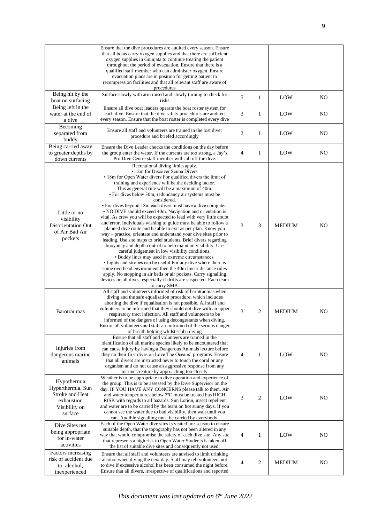|                                                                                               | Ensure that the dive procedures are audited every season. Ensure<br>that all boats carry oxygen supplies and that there are sufficient<br>oxygen supplies in Guinjata to continue treating the patient<br>throughout the period of evacuation. Ensure that there is a<br>qualified staff member who can administer oxygen. Ensure<br>evacuation plans are in position for getting patient to<br>recompression facilities and that all relevant staff are aware of<br>procedures                                                                                                                                                                                                                                                                                                                                                                                                                                                                                                                                                                                                                                                                                                                                                                                              |                |                |               |                |
|-----------------------------------------------------------------------------------------------|------------------------------------------------------------------------------------------------------------------------------------------------------------------------------------------------------------------------------------------------------------------------------------------------------------------------------------------------------------------------------------------------------------------------------------------------------------------------------------------------------------------------------------------------------------------------------------------------------------------------------------------------------------------------------------------------------------------------------------------------------------------------------------------------------------------------------------------------------------------------------------------------------------------------------------------------------------------------------------------------------------------------------------------------------------------------------------------------------------------------------------------------------------------------------------------------------------------------------------------------------------------------------|----------------|----------------|---------------|----------------|
| Being hit by the<br>boat on surfacing                                                         | Surface slowly with arm raised and slowly turning to check for<br>risks                                                                                                                                                                                                                                                                                                                                                                                                                                                                                                                                                                                                                                                                                                                                                                                                                                                                                                                                                                                                                                                                                                                                                                                                      | 5              | 1              | LOW           | N <sub>O</sub> |
| Being left in the<br>water at the end of<br>a dive                                            | Ensure all dive boat leaders operate the boat roster system for<br>each dive. Ensure that the dive safety procedures are audited<br>every season. Ensure that the boat roster is completed every dive                                                                                                                                                                                                                                                                                                                                                                                                                                                                                                                                                                                                                                                                                                                                                                                                                                                                                                                                                                                                                                                                        | 3              | 1              | LOW           | NO             |
| Becoming<br>separated from<br>buddy                                                           | Ensure all staff and volunteers are trained in the lost diver<br>procedure and briefed accordingly                                                                                                                                                                                                                                                                                                                                                                                                                                                                                                                                                                                                                                                                                                                                                                                                                                                                                                                                                                                                                                                                                                                                                                           | 2              | $\mathbf{1}$   | LOW           | N <sub>O</sub> |
| Being carried away<br>to greater depths by<br>down currents                                   | Ensure the Dive Leader checks the conditions on the day before<br>the group enter the water. If the currents are too strong, a Jay's<br>Pro Dive Centre staff member will call off the dive.                                                                                                                                                                                                                                                                                                                                                                                                                                                                                                                                                                                                                                                                                                                                                                                                                                                                                                                                                                                                                                                                                 | $\overline{4}$ | 1              | LOW           | N <sub>O</sub> |
| Little or no<br>visibility<br>Disorientation Out<br>of Air Bad Air<br>pockets                 | Recreational diving limits apply.<br>• 12m for Discover Scuba Divers<br>• 18m for Open Water divers For qualified divers the limit of<br>training and experience will be the deciding factor.<br>This as general rule will be a maximum of 40m.<br>• For dives below 30m, redundancy air systems must be<br>considered.<br>• For dives beyond 18m each diver must have a dive computer.<br>• NO DIVE should exceed 40m. Navigation and orientation is<br>vital. As crew you will be expected to lead with very little doubt<br>and error. Individuals wishing to guide must be able to follow a<br>planned dive route and be able to exit as per plan. Know you<br>way – practice, orientate and understand your dive sites prior to<br>leading. Use site maps to brief students. Brief divers regarding<br>buoyancy and depth control to help maintain visibility. Use<br>careful judgement in low visibility conditions.<br>• Buddy lines may used in extreme circumstances.<br>• Lights and strobes can be useful For any dive where there is<br>some overhead environment then the 40m linear distance rules<br>apply. No stopping in air bells or air pockets. Carry signalling<br>devices on all dives, especially if drifts are suspected. Each team<br>to carry SMB. | 3              | 3              | <b>MEDIUM</b> | N <sub>O</sub> |
| <b>Barotraumas</b>                                                                            | All staff and volunteers informed of risk of barotraumas when<br>diving and the safe equalisation procedure, which includes<br>aborting the dive if equalisation is not possible. All staff and<br>volunteers to be informed that they should not dive with an upper<br>respiratory tract infection. All staff and volunteers to be<br>informed of the dangers of using decongestants when diving.<br>Ensure all volunteers and staff are informed of the serious danger<br>of breath holding whilst scuba diving                                                                                                                                                                                                                                                                                                                                                                                                                                                                                                                                                                                                                                                                                                                                                            | 3              | 2              | <b>MEDIUM</b> | N <sub>O</sub> |
| Injuries from<br>dangerous marine<br>animals                                                  | Ensure that all staff and volunteers are trained in the<br>identification of all marine species likely to be encountered that<br>can cause injury by having a Dangerous Animals lecture before<br>they do their first dives on Love The Oceans' programs. Ensure<br>that all divers are instructed never to touch the coral or any<br>organism and do not cause an aggressive response from any<br>marine creature by approaching too closely                                                                                                                                                                                                                                                                                                                                                                                                                                                                                                                                                                                                                                                                                                                                                                                                                                | 4              | $\mathbf{1}$   | LOW           | NO             |
| Hypothermia<br>Hyperthermia, Sun<br>Stroke and Heat<br>exhaustion<br>Visibility on<br>surface | Weather is to be appropriate to dive operation and experience of<br>the group. This is to be assessed by the Dive Supervisor on the<br>day. IF YOU HAVE ANY CONCERNS please talk to them. Air<br>and water temperatures below 7°C must be treated has HIGH<br>RISK with regards to all hazards. Sun Lotion, insect repellent<br>and water are to be carried by the team on hot sunny days. If you<br>cannot see the water due to bad visibility, then wait until you<br>can. Audible signalling must be carried by everybody.                                                                                                                                                                                                                                                                                                                                                                                                                                                                                                                                                                                                                                                                                                                                                | 3              | $\overline{2}$ | LOW           | N <sub>O</sub> |
| Dive Sites not<br>being appropriate<br>for in-water<br>activities                             | Each of the Open Water dive sites is visited pre-season to ensure<br>suitable depth, that the topography has not been altered in any<br>way that would compromise the safety of each dive site. Any site<br>that represents a high risk to Open Water Students is taken off<br>the list of suitable dive sites and consequently not used.                                                                                                                                                                                                                                                                                                                                                                                                                                                                                                                                                                                                                                                                                                                                                                                                                                                                                                                                    | 4              | 1              | LOW           | N <sub>O</sub> |
| Factors increasing<br>risk of accident due<br>to: alcohol,<br>inexperienced                   | Ensure that all staff and volunteers are advised to limit drinking<br>alcohol when diving the next day. Staff may tell volunteers not<br>to dive if excessive alcohol has been consumed the night before.<br>Ensure that all divers, irrespective of qualifications and reported                                                                                                                                                                                                                                                                                                                                                                                                                                                                                                                                                                                                                                                                                                                                                                                                                                                                                                                                                                                             | 4              | $\overline{2}$ | <b>MEDIUM</b> | N <sub>O</sub> |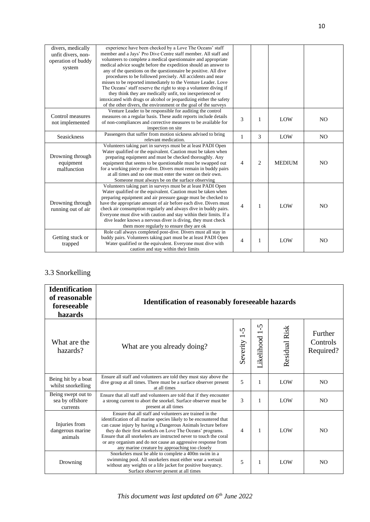| divers, medically  | experience have been checked by a Love The Oceans' staff            |                |   |               |                |
|--------------------|---------------------------------------------------------------------|----------------|---|---------------|----------------|
| unfit divers, non- | member and a Jays' Pro Dive Centre staff member. All staff and      |                |   |               |                |
| operation of buddy | volunteers to complete a medical questionnaire and appropriate      |                |   |               |                |
| system             | medical advice sought before the expedition should an answer to     |                |   |               |                |
|                    | any of the questions on the questionnaire be positive. All dive     |                |   |               |                |
|                    | procedures to be followed precisely. All accidents and near         |                |   |               |                |
|                    | misses to be reported immediately to the Venture Leader. Love       |                |   |               |                |
|                    | The Oceans' staff reserve the right to stop a volunteer diving if   |                |   |               |                |
|                    | they think they are medically unfit, too inexperienced or           |                |   |               |                |
|                    | intoxicated with drugs or alcohol or jeopardizing either the safety |                |   |               |                |
|                    | of the other divers, the environment or the goal of the surveys     |                |   |               |                |
|                    | Venture Leader to be responsible for auditing the control           |                |   |               |                |
| Control measures   | measures on a regular basis. These audit reports include details    | 3              |   |               |                |
| not implemented    | of non-compliances and corrective measures to be available for      |                | 1 | LOW           | N <sub>O</sub> |
|                    | inspection on site                                                  |                |   |               |                |
|                    | Passengers that suffer from motion sickness advised to bring        |                |   |               |                |
| Seasickness        | relevant medication.                                                | 1              | 3 | LOW           | N <sub>O</sub> |
|                    | Volunteers taking part in surveys must be at least PADI Open        |                |   |               |                |
|                    | Water qualified or the equivalent. Caution must be taken when       |                |   |               |                |
| Drowning through   | preparing equipment and must be checked thoroughly. Any             |                |   |               |                |
| equipment          | equipment that seems to be questionable must be swapped out         | $\overline{4}$ | 2 | <b>MEDIUM</b> | N <sub>O</sub> |
| malfunction        | for a working piece pre-dive. Divers must remain in buddy pairs     |                |   |               |                |
|                    | at all times and no one must enter the water on their own.          |                |   |               |                |
|                    | Someone must always be on the surface observing                     |                |   |               |                |
|                    | Volunteers taking part in surveys must be at least PADI Open        |                |   |               |                |
|                    | Water qualified or the equivalent. Caution must be taken when       |                |   |               |                |
|                    | preparing equipment and air pressure gauge must be checked to       |                |   |               |                |
| Drowning through   | have the appropriate amount of air before each dive. Divers must    |                |   |               |                |
| running out of air | check air consumption regularly and always dive in buddy pairs.     | $\overline{4}$ | 1 | LOW           | N <sub>O</sub> |
|                    | Everyone must dive with caution and stay within their limits. If a  |                |   |               |                |
|                    | dive leader knows a nervous diver is diving, they must check        |                |   |               |                |
|                    | them more regularly to ensure they are ok                           |                |   |               |                |
|                    | Role call always completed post-dive. Divers must all stay in       |                |   |               |                |
| Getting stuck or   | buddy pairs. Volunteers taking part must be at least PADI Open      |                |   |               |                |
| trapped            | Water qualified or the equivalent. Everyone must dive with          | 4              | 1 | LOW           | N <sub>O</sub> |
|                    | caution and stay within their limits                                |                |   |               |                |

# 3.3 Snorkelling

| <b>Identification</b><br>of reasonable<br>foreseeable<br>hazards | <b>Identification of reasonably foreseeable hazards</b>                                                                                                                                                                                                                                                                                                                                                                                              |                          |                               |                      |                                  |  |
|------------------------------------------------------------------|------------------------------------------------------------------------------------------------------------------------------------------------------------------------------------------------------------------------------------------------------------------------------------------------------------------------------------------------------------------------------------------------------------------------------------------------------|--------------------------|-------------------------------|----------------------|----------------------------------|--|
| What are the<br>hazards?                                         | What are you already doing?                                                                                                                                                                                                                                                                                                                                                                                                                          | n<br>п.<br>Severity      | $\tilde{\zeta}$<br>Likelihood | <b>Residual Risk</b> | Further<br>Controls<br>Required? |  |
| Being hit by a boat<br>whilst snorkelling                        | Ensure all staff and volunteers are told they must stay above the<br>dive group at all times. There must be a surface observer present<br>at all times                                                                                                                                                                                                                                                                                               | 5                        | 1                             | LOW                  | N <sub>O</sub>                   |  |
| Being swept out to<br>sea by offshore<br>currents                | Ensure that all staff and volunteers are told that if they encounter<br>a strong current to abort the snorkel. Surface observer must be<br>present at all times                                                                                                                                                                                                                                                                                      | 3                        | 1                             | LOW                  | N <sub>O</sub>                   |  |
| Injuries from<br>dangerous marine<br>animals                     | Ensure that all staff and volunteers are trained in the<br>identification of all marine species likely to be encountered that<br>can cause injury by having a Dangerous Animals lecture before<br>they do their first snorkels on Love The Oceans' programs.<br>Ensure that all snorkelers are instructed never to touch the coral<br>or any organism and do not cause an aggressive response from<br>any marine creature by approaching too closely | $\overline{\mathcal{A}}$ | 1                             | LOW                  | N <sub>O</sub>                   |  |
| Drowning                                                         | Snorkelers must be able to complete a 400m swim in a<br>swimming pool. All snorkelers must either wear a wetsuit<br>without any weights or a life jacket for positive buoyancy.<br>Surface observer present at all times                                                                                                                                                                                                                             | 5                        | 1                             | LOW                  | N <sub>O</sub>                   |  |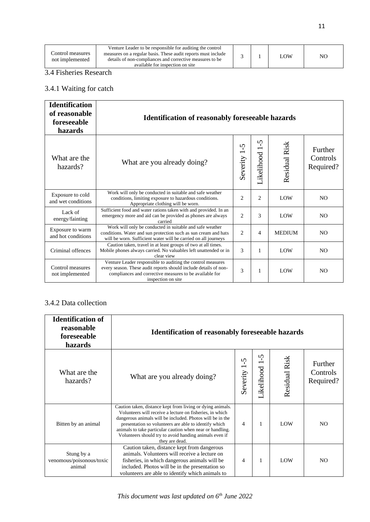| Venture Leader to be responsible for auditing the control<br>Control measures<br>measures on a regular basis. These audit reports must include<br><b>LOW</b><br>details of non-compliances and corrective measures to be<br>not implemented<br>available for inspection on site |  | NO |
|---------------------------------------------------------------------------------------------------------------------------------------------------------------------------------------------------------------------------------------------------------------------------------|--|----|
|---------------------------------------------------------------------------------------------------------------------------------------------------------------------------------------------------------------------------------------------------------------------------------|--|----|

#### 3.4 Fisheries Research

# 3.4.1 Waiting for catch

| <b>Identification</b><br>of reasonable<br>foreseeable<br>hazards | <b>Identification of reasonably foreseeable hazards</b>                                                                                                                                                          |                |                            |               |                                  |  |
|------------------------------------------------------------------|------------------------------------------------------------------------------------------------------------------------------------------------------------------------------------------------------------------|----------------|----------------------------|---------------|----------------------------------|--|
| What are the<br>hazards?                                         | What are you already doing?                                                                                                                                                                                      | ب<br>Severity  | $\mathbf{v}$<br>Likelihood | Residual Risk | Further<br>Controls<br>Required? |  |
| Exposure to cold<br>and wet conditions                           | Work will only be conducted in suitable and safe weather<br>conditions, limiting exposure to hazardous conditions.<br>Appropriate clothing will be worn.                                                         | $\overline{c}$ | 2                          | LOW           | N <sub>O</sub>                   |  |
| Lack of<br>energy/fainting                                       | Sufficient food and water rations taken with and provided. In an<br>emergency more and aid can be provided as phones are always<br>carried                                                                       | $\overline{2}$ | 3                          | LOW           | N <sub>O</sub>                   |  |
| Exposure to warm<br>and hot conditions                           | Work will only be conducted in suitable and safe weather<br>conditions. Water and sun protection such as sun cream and hats<br>will be worn. Sufficient water will be carried on all journeys                    | $\overline{c}$ | 4                          | <b>MEDIUM</b> | N <sub>O</sub>                   |  |
| Criminal offences                                                | Caution taken, travel in at least groups of two at all times.<br>Mobile phones always carried. No valuables left unattended or in<br>clear view                                                                  | 3              | 1                          | LOW           | N <sub>O</sub>                   |  |
| Control measures<br>not implemented                              | Venture Leader responsible to auditing the control measures<br>every season. These audit reports should include details of non-<br>compliances and corrective measures to be available for<br>inspection on site | 3              | 1                          | LOW           | N <sub>O</sub>                   |  |

## 3.4.2 Data collection

| <b>Identification of</b><br>reasonable<br>foreseeable<br>hazards | <b>Identification of reasonably foreseeable hazards</b>                                                                                                                                                                                                                                                                                                                               |                |                   |               |                                  |  |
|------------------------------------------------------------------|---------------------------------------------------------------------------------------------------------------------------------------------------------------------------------------------------------------------------------------------------------------------------------------------------------------------------------------------------------------------------------------|----------------|-------------------|---------------|----------------------------------|--|
| What are the<br>hazards?                                         | What are you already doing?                                                                                                                                                                                                                                                                                                                                                           | S<br>Severity  | n<br>Likelihood 1 | Residual Risk | Further<br>Controls<br>Required? |  |
| Bitten by an animal                                              | Caution taken, distance kept from living or dying animals.<br>Volunteers will receive a lecture on fisheries, in which<br>dangerous animals will be included. Photos will be in the<br>presentation so volunteers are able to identify which<br>animals to take particular caution when near or handling.<br>Volunteers should try to avoid handing animals even if<br>they are dead. | $\overline{4}$ |                   | LOW           | N <sub>O</sub>                   |  |
| Stung by a<br>venomous/poisonous/toxic<br>animal                 | Caution taken, distance kept from dangerous<br>animals. Volunteers will receive a lecture on<br>fisheries, in which dangerous animals will be<br>included. Photos will be in the presentation so<br>volunteers are able to identify which animals to                                                                                                                                  | 4              | 1                 | LOW           | NO.                              |  |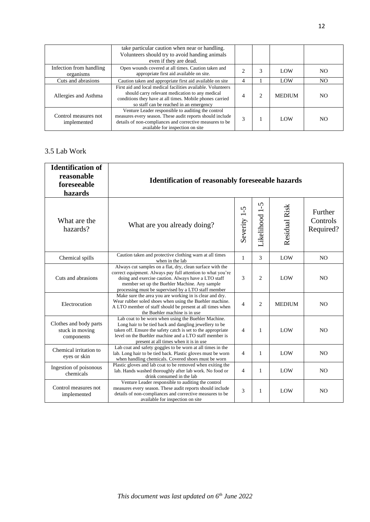|                                      | take particular caution when near or handling.<br>Volunteers should try to avoid handing animals<br>even if they are dead.                                                                                             |   |   |               |                |
|--------------------------------------|------------------------------------------------------------------------------------------------------------------------------------------------------------------------------------------------------------------------|---|---|---------------|----------------|
| Infection from handling<br>organisms | Open wounds covered at all times. Caution taken and<br>appropriate first aid available on site.                                                                                                                        |   |   | LOW           | NO.            |
| Cuts and abrasions                   | Caution taken and appropriate first aid available on site                                                                                                                                                              | 4 |   | LOW           | NO.            |
| Allergies and Asthma                 | First aid and local medical facilities available. Volunteers<br>should carry relevant medication to any medical<br>conditions they have at all times. Mobile phones carried<br>so staff can be reached in an emergency | 4 | 2 | <b>MEDIUM</b> | NO.            |
| Control measures not<br>implemented  | Venture Leader responsible to auditing the control<br>measures every season. These audit reports should include<br>details of non-compliances and corrective measures to be<br>available for inspection on site        | 3 |   | LOW           | N <sub>O</sub> |

#### 3.5 Lab Work

| <b>Identification of</b><br>reasonable<br>foreseeable<br>hazards | <b>Identification of reasonably foreseeable hazards</b>                                                                                                                                                                                                                                 |                |                |               |                                  |  |
|------------------------------------------------------------------|-----------------------------------------------------------------------------------------------------------------------------------------------------------------------------------------------------------------------------------------------------------------------------------------|----------------|----------------|---------------|----------------------------------|--|
| What are the<br>hazards?                                         | What are you already doing?                                                                                                                                                                                                                                                             | Severity 1-5   | Likelihood 1-5 | Residual Risk | Further<br>Controls<br>Required? |  |
| Chemical spills                                                  | Caution taken and protective clothing warn at all times<br>when in the lab                                                                                                                                                                                                              | $\mathbf{1}$   | 3              | LOW           | N <sub>O</sub>                   |  |
| Cuts and abrasions                                               | Always cut samples on a flat, dry, clean surface with the<br>correct equipment. Always pay full attention to what you're<br>doing and exercise caution. Always have a LTO staff<br>member set up the Buehler Machine. Any sample<br>processing must be supervised by a LTO staff member | 3              | $\overline{c}$ | LOW           | N <sub>O</sub>                   |  |
| Electrocution                                                    | Make sure the area you are working in is clear and dry.<br>Wear rubber soled shoes when using the Buehler machine.<br>A LTO member of staff should be present at all times when<br>the Buehler machine is in use                                                                        | $\overline{4}$ | 2              | <b>MEDIUM</b> | N <sub>O</sub>                   |  |
| Clothes and body parts<br>stuck in moving<br>components          | Lab coat to be worn when using the Buehler Machine.<br>Long hair to be tied back and dangling jewellery to be<br>taken off. Ensure the safety catch is set to the appropriate<br>level on the Buehler machine and a LTO staff member is<br>present at all times when it is in use       | $\overline{4}$ | 1              | LOW           | N <sub>O</sub>                   |  |
| Chemical irritation to<br>eyes or skin                           | Lab coat and safety goggles to be worn at all times in the<br>lab. Long hair to be tied back. Plastic gloves must be worn<br>when handling chemicals. Covered shoes must be worn                                                                                                        | $\overline{4}$ | 1              | LOW           | NO.                              |  |
| Ingestion of poisonous<br>chemicals                              | Plastic gloves and lab coat to be removed when exiting the<br>lab. Hands washed thoroughly after lab work. No food or<br>drink consumed in the lab                                                                                                                                      | $\overline{4}$ | $\mathbf{1}$   | LOW           | N <sub>O</sub>                   |  |
| Control measures not<br>implemented                              | Venture Leader responsible to auditing the control<br>measures every season. These audit reports should include<br>details of non-compliances and corrective measures to be<br>available for inspection on site                                                                         | 3              | 1              | LOW           | N <sub>O</sub>                   |  |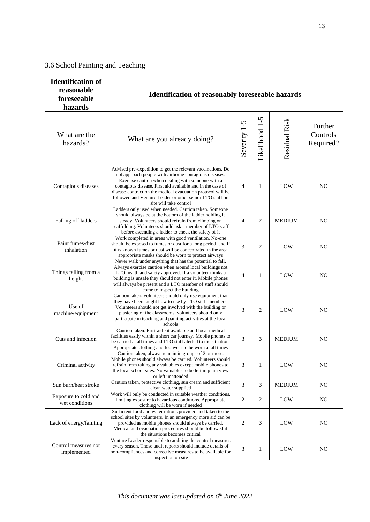# 3.6 School Painting and Teaching

| <b>Identification of</b><br>reasonable<br>foreseeable<br>hazards | <b>Identification of reasonably foreseeable hazards</b>                                                                                                                                                                                                                                                                                                                                       |                |                |               |                                  |  |
|------------------------------------------------------------------|-----------------------------------------------------------------------------------------------------------------------------------------------------------------------------------------------------------------------------------------------------------------------------------------------------------------------------------------------------------------------------------------------|----------------|----------------|---------------|----------------------------------|--|
| What are the<br>hazards?                                         | What are you already doing?                                                                                                                                                                                                                                                                                                                                                                   | Severity 1-5   | Likelihood 1-5 | Residual Risk | Further<br>Controls<br>Required? |  |
| Contagious diseases                                              | Advised pre-expedition to get the relevant vaccinations. Do<br>not approach people with airborne contagious diseases.<br>Exercise caution when dealing with someone with a<br>contagious disease. First aid available and in the case of<br>disease contraction the medical evacuation protocol will be<br>followed and Venture Leader or other senior LTO staff on<br>site will take control | $\overline{4}$ | 1              | LOW           | N <sub>O</sub>                   |  |
| Falling off ladders                                              | Ladders only used when needed. Caution taken. Someone<br>should always be at the bottom of the ladder holding it<br>steady. Volunteers should refrain from climbing on<br>scaffolding. Volunteers should ask a member of LTO staff<br>before ascending a ladder to check the safety of it                                                                                                     | $\overline{4}$ | $\overline{c}$ | <b>MEDIUM</b> | N <sub>O</sub>                   |  |
| Paint fumes/dust<br>inhalation                                   | Work completed in areas with good ventilation. No-one<br>should be exposed to fumes or dust for a long period and if<br>it is known fumes or dust will be concentrated in the area<br>appropriate masks should be worn to protect airways                                                                                                                                                     | 3              | 2              | LOW           | N <sub>O</sub>                   |  |
| Things falling from a<br>height                                  | Never walk under anything that has the potential to fall.<br>Always exercise caution when around local buildings not<br>LTO health and safety approved. If a volunteer thinks a<br>building is unsafe they should not enter it. Mobile phones<br>will always be present and a LTO member of staff should<br>come to inspect the building                                                      | $\overline{4}$ | 1              | LOW           | N <sub>O</sub>                   |  |
| Use of<br>machine/equipment                                      | Caution taken, volunteers should only use equipment that<br>they have been taught how to use by LTO staff members.<br>Volunteers should not get involved with the building or<br>plastering of the classrooms, volunteers should only<br>participate in teaching and painting activities at the local<br>schools                                                                              | 3              | $\overline{c}$ | LOW           | N <sub>O</sub>                   |  |
| Cuts and infection                                               | Caution taken. First aid kit available and local medical<br>facilities easily within a short car journey. Mobile phones to<br>be carried at all times and LTO staff alerted to the situation.<br>Appropriate clothing and footwear to be worn at all times                                                                                                                                    | 3              | 3              | <b>MEDIUM</b> | N <sub>O</sub>                   |  |
| Criminal activity                                                | Caution taken, always remain in groups of 2 or more.<br>Mobile phones should always be carried. Volunteers should<br>refrain from taking any valuables except mobile phones to<br>the local school sites. No valuables to be left in plain view<br>or left unattended                                                                                                                         | 3              | 1              | LOW           | N <sub>O</sub>                   |  |
| Sun burn/heat stroke                                             | Caution taken, protective clothing, sun cream and sufficient<br>clean water supplied                                                                                                                                                                                                                                                                                                          | 3              | 3              | <b>MEDIUM</b> | N <sub>O</sub>                   |  |
| Exposure to cold and<br>wet conditions                           | Work will only be conducted in suitable weather conditions,<br>limiting exposure to hazardous conditions. Appropriate<br>clothing will be worn if needed                                                                                                                                                                                                                                      | 2              | $\overline{c}$ | LOW           | NO                               |  |
| Lack of energy/fainting                                          | Sufficient food and water rations provided and taken to the<br>school sites by volunteers. In an emergency more aid can be<br>provided as mobile phones should always be carried.<br>Medical and evacuation procedures should be followed if<br>the situations becomes critical                                                                                                               | 2              | 3              | LOW           | N <sub>O</sub>                   |  |
| Control measures not<br>implemented                              | Venture Leader responsible to auditing the control measures<br>every season. These audit reports should include details of<br>non-compliances and corrective measures to be available for<br>inspection on site                                                                                                                                                                               | 3              | 1              | LOW           | N <sub>O</sub>                   |  |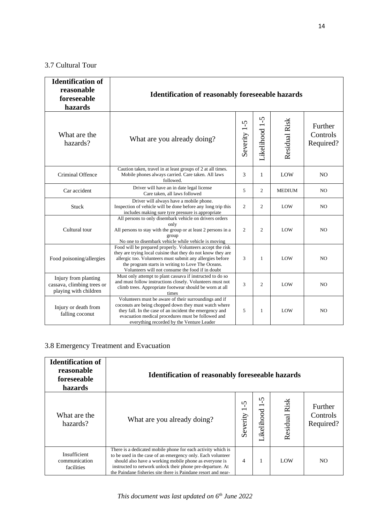# 3.7 Cultural Tour

| <b>Identification of</b><br>reasonable<br>foreseeable<br>hazards            | <b>Identification of reasonably foreseeable hazards</b>                                                                                                                                                                                                                                          |                |                |               |                                  |  |
|-----------------------------------------------------------------------------|--------------------------------------------------------------------------------------------------------------------------------------------------------------------------------------------------------------------------------------------------------------------------------------------------|----------------|----------------|---------------|----------------------------------|--|
| What are the<br>hazards?                                                    | What are you already doing?                                                                                                                                                                                                                                                                      | Severity 1-5   | Likelihood 1-5 | Residual Risk | Further<br>Controls<br>Required? |  |
| Criminal Offence                                                            | Caution taken, travel in at least groups of 2 at all times.<br>Mobile phones always carried. Care taken. All laws<br>followed.                                                                                                                                                                   | 3              | $\mathbf{1}$   | LOW           | N <sub>O</sub>                   |  |
| Car accident                                                                | Driver will have an in date legal license<br>Care taken, all laws followed                                                                                                                                                                                                                       | 5              | $\overline{2}$ | <b>MEDIUM</b> | N <sub>O</sub>                   |  |
| Stuck                                                                       | Driver will always have a mobile phone.<br>Inspection of vehicle will be done before any long trip this<br>includes making sure tyre pressure is appropriate                                                                                                                                     | $\overline{2}$ | 2              | LOW           | N <sub>O</sub>                   |  |
| Cultural tour                                                               | All persons to only disembark vehicle on drivers orders<br>only<br>All persons to stay with the group or at least 2 persons in a<br>group<br>No one to disembark vehicle while vehicle is moving                                                                                                 | $\overline{c}$ | $\overline{2}$ | LOW           | N <sub>O</sub>                   |  |
| Food poisoning/allergies                                                    | Food will be prepared properly. Volunteers accept the risk<br>they are trying local cuisine that they do not know they are<br>allergic too. Volunteers must submit any allergies before<br>the program starts in writing to Love The Oceans.<br>Volunteers will not consume the food if in doubt | 3              | 1              | LOW           | N <sub>O</sub>                   |  |
| Injury from planting<br>cassava, climbing trees or<br>playing with children | Must only attempt to plant cassava if instructed to do so<br>and must follow instructions closely. Volunteers must not<br>climb trees. Appropriate footwear should be worn at all<br>times                                                                                                       | 3              | 2              | LOW           | N <sub>O</sub>                   |  |
| Injury or death from<br>falling coconut                                     | Volunteers must be aware of their surroundings and if<br>coconuts are being chopped down they must watch where<br>they fall. In the case of an incident the emergency and<br>evacuation medical procedures must be followed and<br>everything recorded by the Venture Leader                     | 5              | $\mathbf{1}$   | LOW           | NO                               |  |

# 3.8 Emergency Treatment and Evacuation

| <b>Identification of</b><br>reasonable<br>foreseeable<br>hazards | <b>Identification of reasonably foreseeable hazards</b>                                                                                                                                                                                                                                                               |               |                                             |               |                                  |
|------------------------------------------------------------------|-----------------------------------------------------------------------------------------------------------------------------------------------------------------------------------------------------------------------------------------------------------------------------------------------------------------------|---------------|---------------------------------------------|---------------|----------------------------------|
| What are the<br>hazards?                                         | What are you already doing?                                                                                                                                                                                                                                                                                           | n<br>Severity | 5<br>$\overline{\phantom{0}}$<br>Likelihood | Residual Risk | Further<br>Controls<br>Required? |
| Insufficient<br>communication<br>facilities                      | There is a dedicated mobile phone for each activity which is<br>to be used in the case of an emergency only. Each volunteer<br>should also have a working mobile phone as everyone is<br>instructed to network unlock their phone pre-departure. At<br>the Paindane fisheries site there is Paindane resort and near- | 4             |                                             | LOW           | NO.                              |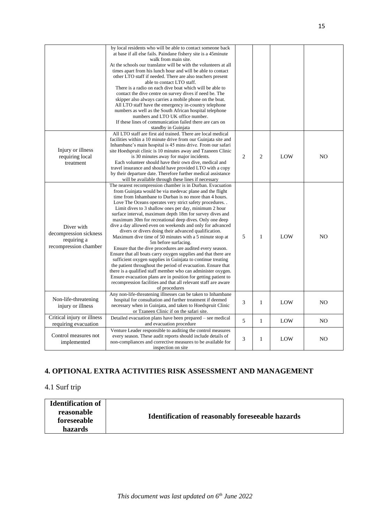|                            | by local residents who will be able to contact someone back      |                |                |     |                |
|----------------------------|------------------------------------------------------------------|----------------|----------------|-----|----------------|
|                            | at base if all else fails. Paindane fishery site is a 45minute   |                |                |     |                |
|                            | walk from main site.                                             |                |                |     |                |
|                            | At the schools our translator will be with the volunteers at all |                |                |     |                |
|                            | times apart from his lunch hour and will be able to contact      |                |                |     |                |
|                            | other LTO staff if needed. There are also teachers present       |                |                |     |                |
|                            | able to contact LTO staff.                                       |                |                |     |                |
|                            | There is a radio on each dive boat which will be able to         |                |                |     |                |
|                            | contact the dive centre on survey dives if need be. The          |                |                |     |                |
|                            | skipper also always carries a mobile phone on the boat.          |                |                |     |                |
|                            | All LTO staff have the emergency in-country telephone            |                |                |     |                |
|                            | numbers as well as the South African hospital telephone          |                |                |     |                |
|                            | numbers and LTO UK office number.                                |                |                |     |                |
|                            | If these lines of communication failed there are cars on         |                |                |     |                |
|                            | standby in Guinjata                                              |                |                |     |                |
|                            | All LTO staff are first aid trained. There are local medical     |                |                |     |                |
|                            | facilities within a 10 minute drive from our Guinjata site and   |                |                |     |                |
|                            | Inhambane's main hospital is 45 mins drive. From our safari      |                |                |     |                |
| Injury or illness          | site Hoedspruit clinic is 10 minutes away and Tzaneen Clinic     |                |                |     |                |
| requiring local            | is 30 minutes away for major incidents.                          | $\overline{c}$ | $\overline{2}$ | LOW | NO             |
| treatment                  | Each volunteer should have their own dive, medical and           |                |                |     |                |
|                            | travel insurance and should have provided LTO with a copy        |                |                |     |                |
|                            | by their departure date. Therefore further medical assistance    |                |                |     |                |
|                            | will be available through these lines if necessary               |                |                |     |                |
|                            | The nearest recompression chamber is in Durban. Evacuation       |                |                |     |                |
|                            | from Guinjata would be via medevac plane and the flight          |                |                |     |                |
|                            | time from Inhambane to Durban is no more than 4 hours.           |                |                |     |                |
|                            | Love The Oceans operates very strict safety procedures           |                |                |     |                |
|                            | Limit dives to 3 shallow ones per day, minimum 2 hour            |                |                |     |                |
|                            | surface interval, maximum depth 18m for survey dives and         |                |                |     |                |
|                            | maximum 30m for recreational deep dives. Only one deep           |                |                |     |                |
| Diver with                 | dive a day allowed even on weekends and only for advanced        |                |                |     |                |
| decompression sickness     | divers or divers doing their advanced qualification.             |                |                |     |                |
| requiring a                | Maximum dive time of 50 minutes with a 5 minute stop at          | 5              | 1              | LOW | NO             |
| recompression chamber      | 5m before surfacing.                                             |                |                |     |                |
|                            | Ensure that the dive procedures are audited every season.        |                |                |     |                |
|                            | Ensure that all boats carry oxygen supplies and that there are   |                |                |     |                |
|                            | sufficient oxygen supplies in Guinjata to continue treating      |                |                |     |                |
|                            | the patient throughout the period of evacuation. Ensure that     |                |                |     |                |
|                            | there is a qualified staff member who can administer oxygen.     |                |                |     |                |
|                            | Ensure evacuation plans are in position for getting patient to   |                |                |     |                |
|                            | recompression facilities and that all relevant staff are aware   |                |                |     |                |
|                            | of procedures                                                    |                |                |     |                |
|                            | Any non-life-threatening illnesses can be taken to Inhambane     |                |                |     |                |
| Non-life-threatening       | hospital for consultation and further treatment if deemed        | 3              | $\mathbf{1}$   | LOW | N <sub>O</sub> |
| injury or illness          | necessary when in Guinjata, and taken to Hoedspruit Clinic       |                |                |     |                |
|                            | or Tzaneen Clinic if on the safari site.                         |                |                |     |                |
| Critical injury or illness | Detailed evacuation plans have been prepared – see medical       | 5              | $\mathbf{1}$   | LOW | N <sub>O</sub> |
| requiring evacuation       | and evacuation procedure                                         |                |                |     |                |
|                            | Venture Leader responsible to auditing the control measures      |                |                |     |                |
| Control measures not       | every season. These audit reports should include details of      | 3              | 1              | LOW | N <sub>O</sub> |
| implemented                | non-compliances and corrective measures to be available for      |                |                |     |                |
|                            | inspection on site                                               |                |                |     |                |

## **4. OPTIONAL EXTRA ACTIVITIES RISK ASSESSMENT AND MANAGEMENT**

# 4.1 Surf trip

| <b>Identification of</b> |                                                         |
|--------------------------|---------------------------------------------------------|
| reasonable               |                                                         |
| foreseeable              | <b>Identification of reasonably foreseeable hazards</b> |
| hazards                  |                                                         |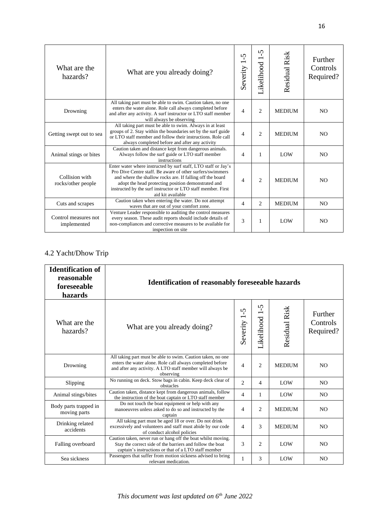| What are the<br>hazards?             | What are you already doing?                                                                                                                                                                                                                                                                                                          | $\Omega$<br>$\mathbf{I}$<br>$\overline{\phantom{0}}$<br>Severity | $\Omega$<br>-T<br>$\overline{\phantom{0}}$<br>Likelihood | Residual Risk | Further<br>Controls<br>Required? |
|--------------------------------------|--------------------------------------------------------------------------------------------------------------------------------------------------------------------------------------------------------------------------------------------------------------------------------------------------------------------------------------|------------------------------------------------------------------|----------------------------------------------------------|---------------|----------------------------------|
| Drowning                             | All taking part must be able to swim. Caution taken, no one<br>enters the water alone. Role call always completed before<br>and after any activity. A surf instructor or LTO staff member<br>will always be observing                                                                                                                | $\overline{4}$                                                   | $\overline{c}$                                           | <b>MEDIUM</b> | N <sub>O</sub>                   |
| Getting swept out to sea             | All taking part must be able to swim. Always in at least<br>groups of 2. Stay within the boundaries set by the surf guide<br>or LTO staff member and follow their instructions. Role call<br>always completed before and after any activity                                                                                          | 4                                                                | $\overline{2}$                                           | <b>MEDIUM</b> | N <sub>O</sub>                   |
| Animal stings or bites               | Caution taken and distance kept from dangerous animals.<br>Always follow the surf guide or LTO staff member<br>instructions                                                                                                                                                                                                          | 4                                                                | 1                                                        | LOW           | N <sub>O</sub>                   |
| Collision with<br>rocks/other people | Enter water where instructed by surf staff, LTO staff or Jay's<br>Pro Dive Centre staff. Be aware of other surfers/swimmers<br>and where the shallow rocks are. If falling off the board<br>adopt the head protecting position demonstrated and<br>instructed by the surf instructor or LTO staff member. First<br>aid kit available | $\overline{4}$                                                   | $\overline{2}$                                           | <b>MEDIUM</b> | N <sub>O</sub>                   |
| Cuts and scrapes                     | Caution taken when entering the water. Do not attempt<br>waves that are out of your comfort zone.                                                                                                                                                                                                                                    | $\overline{4}$                                                   | 2                                                        | <b>MEDIUM</b> | N <sub>O</sub>                   |
| Control measures not<br>implemented  | Venture Leader responsible to auditing the control measures<br>every season. These audit reports should include details of<br>non-compliances and corrective measures to be available for<br>inspection on site                                                                                                                      | 3                                                                | 1                                                        | LOW           | N <sub>O</sub>                   |

#### 4.2 Yacht/Dhow Trip

| <b>Identification of</b><br>reasonable<br>foreseeable<br>hazards | <b>Identification of reasonably foreseeable hazards</b>                                                                                                                                            |                                                 |                   |               |                                  |
|------------------------------------------------------------------|----------------------------------------------------------------------------------------------------------------------------------------------------------------------------------------------------|-------------------------------------------------|-------------------|---------------|----------------------------------|
| What are the<br>hazards?                                         | What are you already doing?                                                                                                                                                                        | 5<br>J.<br>$\overline{\phantom{0}}$<br>Severity | Ş<br>Likelihood 1 | Residual Risk | Further<br>Controls<br>Required? |
| Drowning                                                         | All taking part must be able to swim. Caution taken, no one<br>enters the water alone. Role call always completed before<br>and after any activity. A LTO staff member will always be<br>observing | $\overline{4}$                                  | $\overline{c}$    | <b>MEDIUM</b> | N <sub>O</sub>                   |
| Slipping                                                         | No running on deck. Stow bags in cabin. Keep deck clear of<br>obstacles                                                                                                                            | $\overline{2}$                                  | 4                 | LOW           | N <sub>O</sub>                   |
| Animal stings/bites                                              | Caution taken, distance kept from dangerous animals, follow<br>the instruction of the boat captain or LTO staff member                                                                             | $\overline{4}$                                  | $\mathbf{1}$      | LOW           | N <sub>O</sub>                   |
| Body parts trapped in<br>moving parts                            | Do not touch the boat equipment or help with any<br>manoeuvres unless asked to do so and instructed by the<br>captain                                                                              | $\overline{4}$                                  | 2                 | <b>MEDIUM</b> | N <sub>O</sub>                   |
| Drinking related<br>accidents                                    | All taking part must be aged 18 or over. Do not drink<br>excessively and volunteers and staff must abide by our code<br>of conduct alcohol policies                                                | $\overline{4}$                                  | 3                 | <b>MEDIUM</b> | N <sub>O</sub>                   |
| Falling overboard                                                | Caution taken, never run or hang off the boat whilst moving.<br>Stay the correct side of the barriers and follow the boat<br>captain's instructions or that of a LTO staff member                  | 3                                               | 2                 | LOW           | N <sub>O</sub>                   |
| Sea sickness                                                     | Passengers that suffer from motion sickness advised to bring<br>relevant medication.                                                                                                               | 1                                               | 3                 | LOW           | N <sub>O</sub>                   |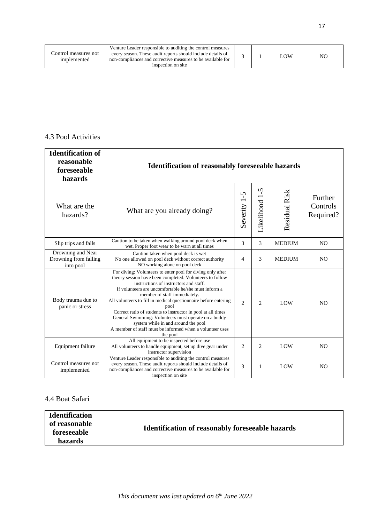| Venture Leader responsible to auditing the control measures<br>Control measures not<br>every season. These audit reports should include details of<br>non-compliances and corrective measures to be available for<br>implemented<br>inspection on site |  |  | LOW | NO |
|--------------------------------------------------------------------------------------------------------------------------------------------------------------------------------------------------------------------------------------------------------|--|--|-----|----|
|--------------------------------------------------------------------------------------------------------------------------------------------------------------------------------------------------------------------------------------------------------|--|--|-----|----|

#### 4.3 Pool Activities

| <b>Identification of</b><br>reasonable<br>foreseeable<br>hazards | <b>Identification of reasonably foreseeable hazards</b>                                                                                                                                                                                                                                                                                                                                                                                                                                                                                                                    |                 |                |               |                                  |  |
|------------------------------------------------------------------|----------------------------------------------------------------------------------------------------------------------------------------------------------------------------------------------------------------------------------------------------------------------------------------------------------------------------------------------------------------------------------------------------------------------------------------------------------------------------------------------------------------------------------------------------------------------------|-----------------|----------------|---------------|----------------------------------|--|
| What are the<br>hazards?                                         | What are you already doing?                                                                                                                                                                                                                                                                                                                                                                                                                                                                                                                                                | Ş<br>Severity 1 | Likelihood 1-5 | Residual Risk | Further<br>Controls<br>Required? |  |
| Slip trips and falls                                             | Caution to be taken when walking around pool deck when<br>wet. Proper foot wear to be warn at all times                                                                                                                                                                                                                                                                                                                                                                                                                                                                    | $\mathcal{E}$   | 3              | <b>MEDIUM</b> | N <sub>O</sub>                   |  |
| Drowning and Near<br>Drowning from falling<br>into pool          | Caution taken when pool deck is wet<br>No one allowed on pool deck without correct authority<br>NO working alone on pool deck                                                                                                                                                                                                                                                                                                                                                                                                                                              | $\overline{4}$  | 3              | <b>MEDIUM</b> | N <sub>O</sub>                   |  |
| Body trauma due to<br>panic or stress                            | For diving: Volunteers to enter pool for diving only after<br>theory session have been completed. Volunteers to follow<br>instructions of instructors and staff.<br>If volunteers are uncomfortable he/she must inform a<br>member of staff immediately.<br>All volunteers to fill in medical questionnaire before entering<br>pool<br>Correct ratio of students to instructor in pool at all times<br>General Swimming: Volunteers must operate on a buddy<br>system while in and around the pool<br>A member of staff must be informed when a volunteer uses<br>the pool | $\mathfrak{D}$  | 2              | <b>LOW</b>    | N <sub>O</sub>                   |  |
| Equipment failure                                                | All equipment to be inspected before use<br>All volunteers to handle equipment, set up dive gear under<br>instructor supervision                                                                                                                                                                                                                                                                                                                                                                                                                                           | $\overline{c}$  | 2              | LOW           | N <sub>O</sub>                   |  |
| Control measures not<br>implemented                              | Venture Leader responsible to auditing the control measures<br>every season. These audit reports should include details of<br>non-compliances and corrective measures to be available for<br>inspection on site                                                                                                                                                                                                                                                                                                                                                            | 3               | 1              | LOW           | N <sub>O</sub>                   |  |

## 4.4 Boat Safari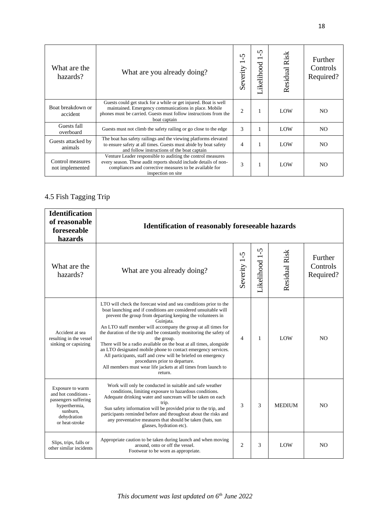| What are the<br>hazards?            | What are you already doing?                                                                                                                                                                                      | n<br>Severity  | $\Omega$<br>Likelihood | Risk<br>Residual | Further<br>Controls<br>Required? |
|-------------------------------------|------------------------------------------------------------------------------------------------------------------------------------------------------------------------------------------------------------------|----------------|------------------------|------------------|----------------------------------|
| Boat breakdown or<br>accident       | Guests could get stuck for a while or get injured. Boat is well<br>maintained. Emergency communications in place. Mobile<br>phones must be carried. Guests must follow instructions from the<br>boat captain     | $\overline{2}$ | 1                      | LOW              | NO.                              |
| Guests fall<br>overboard            | Guests must not climb the safety railing or go close to the edge                                                                                                                                                 | 3              | 1                      | LOW              | N <sub>O</sub>                   |
| Guests attacked by<br>animals       | The boat has safety railings and the viewing platforms elevated<br>to ensure safety at all times. Guests must abide by boat safety<br>and follow instructions of the boat captain                                | 4              |                        | LOW              | N <sub>O</sub>                   |
| Control measures<br>not implemented | Venture Leader responsible to auditing the control measures<br>every season. These audit reports should include details of non-<br>compliances and corrective measures to be available for<br>inspection on site | 3              | 1                      | LOW              | NO.                              |

# 4.5 Fish Tagging Trip

| <b>Identification</b><br>of reasonable<br>foreseeable<br>hazards                                                               | <b>Identification of reasonably foreseeable hazards</b>                                                                                                                                                                                                                                                                                                                                                                                                                                                                                                                                                                                                                                      |                |                |               |                                  |  |
|--------------------------------------------------------------------------------------------------------------------------------|----------------------------------------------------------------------------------------------------------------------------------------------------------------------------------------------------------------------------------------------------------------------------------------------------------------------------------------------------------------------------------------------------------------------------------------------------------------------------------------------------------------------------------------------------------------------------------------------------------------------------------------------------------------------------------------------|----------------|----------------|---------------|----------------------------------|--|
| What are the<br>hazards?                                                                                                       | What are you already doing?                                                                                                                                                                                                                                                                                                                                                                                                                                                                                                                                                                                                                                                                  | Severity 1-5   | Likelihood 1-5 | Residual Risk | Further<br>Controls<br>Required? |  |
| Accident at sea<br>resulting in the vessel<br>sinking or capsizing                                                             | LTO will check the forecast wind and sea conditions prior to the<br>boat launching and if conditions are considered unsuitable will<br>prevent the group from departing keeping the volunteers in<br>Guinjata.<br>An LTO staff member will accompany the group at all times for<br>the duration of the trip and be constantly monitoring the safety of<br>the group.<br>There will be a radio available on the boat at all times, alongside<br>an LTO designated mobile phone to contact emergency services.<br>All participants, staff and crew will be briefed on emergency<br>procedures prior to departure.<br>All members must wear life jackets at all times from launch to<br>return. | $\overline{4}$ | $\mathbf{1}$   | LOW           | NO.                              |  |
| Exposure to warm<br>and hot conditions -<br>passengers suffering<br>hyperthermia,<br>sunburn.<br>dehydration<br>or heat-stroke | Work will only be conducted in suitable and safe weather<br>conditions, limiting exposure to hazardous conditions.<br>Adequate drinking water and suncream will be taken on each<br>trip.<br>Sun safety information will be provided prior to the trip, and<br>participants reminded before and throughout about the risks and<br>any preventative measures that should be taken (hats, sun<br>glasses, hydration etc).                                                                                                                                                                                                                                                                      | 3              | 3              | <b>MEDIUM</b> | N <sub>O</sub>                   |  |
| Slips, trips, falls or<br>other similar incidents                                                                              | Appropriate caution to be taken during launch and when moving<br>around, onto or off the vessel.<br>Footwear to be worn as appropriate.                                                                                                                                                                                                                                                                                                                                                                                                                                                                                                                                                      | $\overline{2}$ | 3              | LOW           | N <sub>O</sub>                   |  |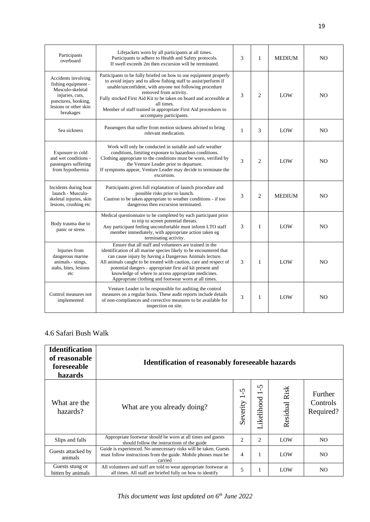| Participants<br>overboard                                                                                                                      | Lifejackets worn by all participants at all times.<br>Participants to adhere to Health and Safety protocols.<br>If swell exceeds 2m then excursion will be terminated.                                                                                                                                                                                                                                                                     | 3 | $\mathbf{1}$   | <b>MEDIUM</b> | NO.            |
|------------------------------------------------------------------------------------------------------------------------------------------------|--------------------------------------------------------------------------------------------------------------------------------------------------------------------------------------------------------------------------------------------------------------------------------------------------------------------------------------------------------------------------------------------------------------------------------------------|---|----------------|---------------|----------------|
| Accidents involving<br>fishing equipment -<br>Musculo-skeletal<br>injuries, cuts,<br>punctures, hooking,<br>lesions or other skin<br>breakages | Participants to be fully briefed on how to use equipment properly<br>to avoid injury and to allow fishing staff to assist/perform if<br>unable/unconfident, with anyone not following procedure<br>removed from activity.<br>Fully stocked First Aid Kit to be taken on board and accessible at<br>all times.<br>Member of staff trained in appropriate First Aid procedures to<br>accompany participants.                                 | 3 | $\overline{2}$ | LOW           | N <sub>O</sub> |
| Sea sickness                                                                                                                                   | Passengers that suffer from motion sickness advised to bring<br>relevant medication.                                                                                                                                                                                                                                                                                                                                                       | 1 | 3              | LOW           | NO.            |
| Exposure to cold<br>and wet conditions -<br>passengers suffering<br>from hypothermia                                                           | Work will only be conducted in suitable and safe weather<br>conditions, limiting exposure to hazardous conditions.<br>Clothing appropriate to the conditions must be worn, verified by<br>the Venture Leader prior to departure.<br>If symptoms appear, Venture Leader may decide to terminate the<br>excursion.                                                                                                                           | 3 | $\overline{2}$ | LOW           | N <sub>O</sub> |
| Incidents during boat<br>launch - Musculo-<br>skeletal injuries, skin<br>lesions, crushing etc                                                 | Participants given full explanation of launch procedure and<br>possible risks prior to launch.<br>Caution to be taken appropriate to weather conditions - if too<br>dangerous then excursion terminated.                                                                                                                                                                                                                                   | 3 | $\overline{2}$ | <b>MEDIUM</b> | NO.            |
| Body trauma due to<br>panic or stress                                                                                                          | Medical questionnaire to be completed by each participant prior<br>to trip to screen potential threats.<br>Any participant feeling uncomfortable must inform LTO staff<br>member immediately, with appropriate action taken eg<br>terminating activity.                                                                                                                                                                                    | 3 | 1              | LOW           | N <sub>O</sub> |
| Injuries from<br>dangerous marine<br>animals - stings,<br>stabs, bites, lesions<br>etc                                                         | Ensure that all staff and volunteers are trained in the<br>identification of all marine species likely to be encountered that<br>can cause injury by having a Dangerous Animals lecture.<br>All animals caught to be treated with caution, care and respect of<br>potential dangers - appropriate first aid kit present and<br>knowledge of where to access appropriate medicines.<br>Appropriate clothing and footwear worn at all times. | 3 | $\mathbf{1}$   | LOW           | NO.            |
| Control measures not<br>implemented                                                                                                            | Venture Leader to be responsible for auditing the control<br>measures on a regular basis. These audit reports include details<br>of non-compliances and corrective measures to be available for<br>inspection on site.                                                                                                                                                                                                                     | 3 | 1              | LOW           | NO             |

### 4.6 Safari Bush Walk

| <b>Identification</b><br>of reasonable<br>foreseeable<br>hazards | <b>Identification of reasonably foreseeable hazards</b>                                                                                       |                |                                             |               |                                  |
|------------------------------------------------------------------|-----------------------------------------------------------------------------------------------------------------------------------------------|----------------|---------------------------------------------|---------------|----------------------------------|
| What are the<br>hazards?                                         | What are you already doing?                                                                                                                   | n<br>Severity  | 5<br>$\overline{\phantom{0}}$<br>Likelihood | Residual Risk | Further<br>Controls<br>Required? |
| Slips and falls                                                  | Appropriate footwear should be worn at all times and guests<br>should follow the instructions of the guide                                    | $\overline{2}$ | 2                                           | LOW           | NO.                              |
| Guests attacked by<br>animals                                    | Guide is experienced. No unnecessary risks will be taken. Guests<br>must follow instructions from the guide. Mobile phones must be<br>carried | $\overline{4}$ |                                             | LOW           | NO.                              |
| Guests stung or<br>bitten by animals                             | All volunteers and staff are told to wear appropriate footwear at<br>all times. All staff are briefed fully on how to identify                | 5              |                                             | LOW           | NO.                              |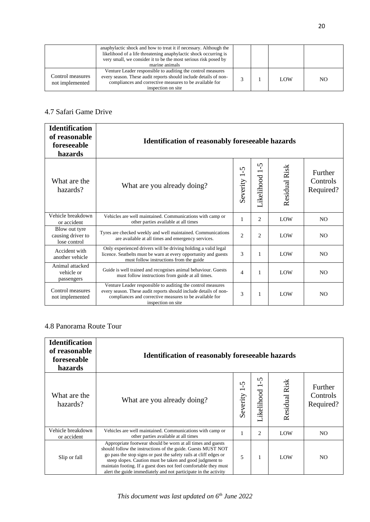|                                     | anaphylactic shock and how to treat it if necessary. Although the<br>likelihood of a life threatening anaphylactic shock occurring is<br>very small, we consider it to be the most serious risk posed by<br>marine animals |  |            |     |
|-------------------------------------|----------------------------------------------------------------------------------------------------------------------------------------------------------------------------------------------------------------------------|--|------------|-----|
| Control measures<br>not implemented | Venture Leader responsible to auditing the control measures<br>every season. These audit reports should include details of non-<br>compliances and corrective measures to be available for<br>inspection on site           |  | <b>LOW</b> | NO. |

### 4.7 Safari Game Drive

| <b>Identification</b><br>of reasonable<br>foreseeable<br>hazards | <b>Identification of reasonably foreseeable hazards</b>                                                                                                                                                          |                      |                       |               |                                  |
|------------------------------------------------------------------|------------------------------------------------------------------------------------------------------------------------------------------------------------------------------------------------------------------|----------------------|-----------------------|---------------|----------------------------------|
| What are the<br>hazards?                                         | What are you already doing?                                                                                                                                                                                      | $\Omega$<br>Severity | S<br>-C<br>Likelihood | Residual Risk | Further<br>Controls<br>Required? |
| Vehicle breakdown<br>or accident                                 | Vehicles are well maintained. Communications with camp or<br>other parties available at all times                                                                                                                | 1                    | 2                     | LOW           | N <sub>O</sub>                   |
| Blow out tyre<br>causing driver to<br>lose control               | Tyres are checked weekly and well maintained. Communications<br>are available at all times and emergency services.                                                                                               | $\overline{2}$       | $\overline{c}$        | LOW           | N <sub>O</sub>                   |
| Accident with<br>another vehicle                                 | Only experienced drivers will be driving holding a valid legal<br>licence. Seatbelts must be warn at every opportunity and guests<br>must follow instructions from the guide                                     | 3                    | 1                     | LOW           | N <sub>O</sub>                   |
| Animal attacked<br>vehicle or<br>passengers                      | Guide is well trained and recognises animal behaviour. Guests<br>must follow instructions from guide at all times.                                                                                               | $\overline{4}$       | 1                     | LOW           | N <sub>O</sub>                   |
| Control measures<br>not implemented                              | Venture Leader responsible to auditing the control measures<br>every season. These audit reports should include details of non-<br>compliances and corrective measures to be available for<br>inspection on site | 3                    | $\mathbf{1}$          | LOW           | N <sub>O</sub>                   |

#### 4.8 Panorama Route Tour

| <b>Identification</b><br>of reasonable<br>foreseeable<br>hazards | <b>Identification of reasonably foreseeable hazards</b>                                                                                                                                                                                                                                                                                                                                             |               |                            |                      |                                  |  |
|------------------------------------------------------------------|-----------------------------------------------------------------------------------------------------------------------------------------------------------------------------------------------------------------------------------------------------------------------------------------------------------------------------------------------------------------------------------------------------|---------------|----------------------------|----------------------|----------------------------------|--|
| What are the<br>hazards?                                         | What are you already doing?                                                                                                                                                                                                                                                                                                                                                                         | n<br>Severity | $\mathsf{S}$<br>Likelihood | <b>Residual Risk</b> | Further<br>Controls<br>Required? |  |
| Vehicle breakdown<br>or accident                                 | Vehicles are well maintained. Communications with camp or<br>other parties available at all times                                                                                                                                                                                                                                                                                                   |               | 2                          | LOW                  | NO.                              |  |
| Slip or fall                                                     | Appropriate footwear should be worn at all times and guests<br>should follow the instructions of the guide. Guests MUST NOT<br>go pass the stop signs or past the safety rails at cliff edges or<br>steep slopes. Caution must be taken and good judgment to<br>maintain footing. If a guest does not feel comfortable they must<br>alert the guide immediately and not participate in the activity | 5             | 1                          | LOW                  | NO.                              |  |

20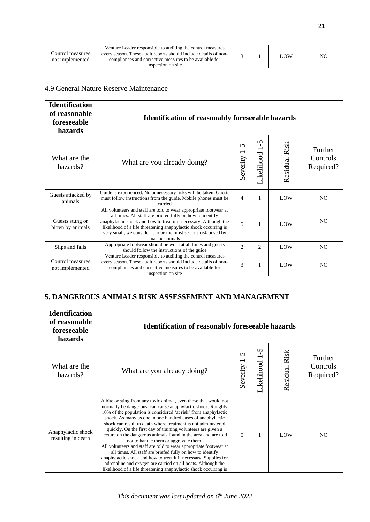#### 4.9 General Nature Reserve Maintenance

| <b>Identification</b><br>of reasonable<br>foreseeable<br>hazards | <b>Identification of reasonably foreseeable hazards</b>                                                                                                                                                                                                                                                                                                      |                      |                      |                      |                                  |
|------------------------------------------------------------------|--------------------------------------------------------------------------------------------------------------------------------------------------------------------------------------------------------------------------------------------------------------------------------------------------------------------------------------------------------------|----------------------|----------------------|----------------------|----------------------------------|
| What are the<br>hazards?                                         | What are you already doing?                                                                                                                                                                                                                                                                                                                                  | $\Omega$<br>Severity | S<br>-C<br>ikelihood | <b>Residual Risk</b> | Further<br>Controls<br>Required? |
| Guests attacked by<br>animals                                    | Guide is experienced. No unnecessary risks will be taken. Guests<br>must follow instructions from the guide. Mobile phones must be<br>carried                                                                                                                                                                                                                | 4                    | $\mathbf{1}$         | LOW                  | N <sub>O</sub>                   |
| Guests stung or<br>bitten by animals                             | All volunteers and staff are told to wear appropriate footwear at<br>all times. All staff are briefed fully on how to identify<br>anaphylactic shock and how to treat it if necessary. Although the<br>likelihood of a life threatening anaphylactic shock occurring is<br>very small, we consider it to be the most serious risk posed by<br>marine animals | 5                    | $\mathbf{1}$         | LOW                  | N <sub>O</sub>                   |
| Slips and falls                                                  | Appropriate footwear should be worn at all times and guests<br>should follow the instructions of the guide                                                                                                                                                                                                                                                   | $\overline{2}$       | 2                    | LOW                  | N <sub>O</sub>                   |
| Control measures<br>not implemented                              | Venture Leader responsible to auditing the control measures<br>every season. These audit reports should include details of non-<br>compliances and corrective measures to be available for<br>inspection on site                                                                                                                                             | 3                    | 1                    | LOW                  | N <sub>O</sub>                   |

## **5. DANGEROUS ANIMALS RISK ASSESSEMENT AND MANAGEMENT**

| <b>Identification</b><br>of reasonable<br>foreseeable<br>hazards | <b>Identification of reasonably foreseeable hazards</b>                                                                                                                                                                                                                                                                                                                                                                                                                                                                                                                                                                                                                                                                                                                                                                                                   |               |                           |               |                                  |
|------------------------------------------------------------------|-----------------------------------------------------------------------------------------------------------------------------------------------------------------------------------------------------------------------------------------------------------------------------------------------------------------------------------------------------------------------------------------------------------------------------------------------------------------------------------------------------------------------------------------------------------------------------------------------------------------------------------------------------------------------------------------------------------------------------------------------------------------------------------------------------------------------------------------------------------|---------------|---------------------------|---------------|----------------------------------|
| What are the<br>hazards?                                         | What are you already doing?                                                                                                                                                                                                                                                                                                                                                                                                                                                                                                                                                                                                                                                                                                                                                                                                                               | n<br>Severity | $\tilde{S}$<br>Likelihood | Residual Risk | Further<br>Controls<br>Required? |
| Anaphylactic shock<br>resulting in death                         | A bite or sting from any toxic animal, even those that would not<br>normally be dangerous, can cause anaphylactic shock. Roughly<br>10% of the population is considered 'at risk' from anaphylactic<br>shock. As many as one in one hundred cases of anaphylactic<br>shock can result in death where treatment is not administered<br>quickly. On the first day of training volunteers are given a<br>lecture on the dangerous animals found in the area and are told<br>not to handle them or aggravate them.<br>All volunteers and staff are told to wear appropriate footwear at<br>all times. All staff are briefed fully on how to identify<br>anaphylactic shock and how to treat it if necessary. Supplies for<br>adrenaline and oxygen are carried on all boats. Although the<br>likelihood of a life threatening anaphylactic shock occurring is | 5             | 1                         | LOW           | N <sub>O</sub>                   |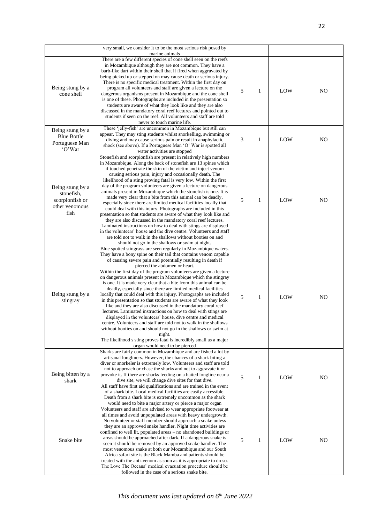|                                                                             | very small, we consider it to be the most serious risk posed by<br>marine animals                                                                                                                                                                                                                                                                                                                                                                                                                                                                                                                                                                                                                                                                                                                                                                                                                                                                                                                                                                                                                                        |   |   |     |                |
|-----------------------------------------------------------------------------|--------------------------------------------------------------------------------------------------------------------------------------------------------------------------------------------------------------------------------------------------------------------------------------------------------------------------------------------------------------------------------------------------------------------------------------------------------------------------------------------------------------------------------------------------------------------------------------------------------------------------------------------------------------------------------------------------------------------------------------------------------------------------------------------------------------------------------------------------------------------------------------------------------------------------------------------------------------------------------------------------------------------------------------------------------------------------------------------------------------------------|---|---|-----|----------------|
| Being stung by a<br>cone shell                                              | There are a few different species of cone shell seen on the reefs<br>in Mozambique although they are not common. They have a<br>barb-like dart within their shell that if fired when aggravated by<br>being picked up or stepped on may cause death or serious injury.<br>There is no specific medical treatment. Within the first day on<br>program all volunteers and staff are given a lecture on the<br>dangerous organisms present in Mozambique and the cone shell<br>is one of these. Photographs are included in the presentation so<br>students are aware of what they look like and they are also<br>discussed in the mandatory coral reef lectures and pointed out to<br>students if seen on the reef. All volunteers and staff are told<br>never to touch marine life.                                                                                                                                                                                                                                                                                                                                       | 5 | 1 | LOW | N <sub>O</sub> |
| Being stung by a<br><b>Blue Bottle</b><br>Portuguese Man<br>'O'War          | These 'jelly-fish' are uncommon in Mozambique but still can<br>appear. They may sting students whilst snorkelling, swimming or<br>diving and may cause serious pain or result in anaphylactic<br>shock (see above). If a Portuguese Man 'O' War is spotted all<br>water activities are stopped                                                                                                                                                                                                                                                                                                                                                                                                                                                                                                                                                                                                                                                                                                                                                                                                                           | 3 | 1 | LOW | N <sub>O</sub> |
| Being stung by a<br>stonefish,<br>scorpionfish or<br>other venomous<br>fish | Stonefish and scorpionfish are present in relatively high numbers<br>in Mozambique. Along the back of stonefish are 13 spines which<br>if touched penetrate the skin of the victim and inject venom<br>causing serious pain, injury and occasionally death. The<br>likelihood of a sting proving fatal is very low. Within the first<br>day of the program volunteers are given a lecture on dangerous<br>animals present in Mozambique which the stonefish is one. It is<br>made very clear that a bite from this animal can be deadly,<br>especially since there are limited medical facilities locally that<br>could deal with this injury. Photographs are included in this<br>presentation so that students are aware of what they look like and<br>they are also discussed in the mandatory coral reef lectures.<br>Laminated instructions on how to deal with stings are displayed<br>in the volunteers' house and the dive centre. Volunteers and staff<br>are told not to walk in the shallows without booties on and<br>should not go in the shallows or swim at night.                                        | 5 | 1 | LOW | N <sub>O</sub> |
| Being stung by a<br>stingray                                                | Blue spotted stingrays are seen regularly in Mozambique waters.<br>They have a bony spine on their tail that contains venom capable<br>of causing severe pain and potentially resulting in death if<br>pierced the abdomen or heart.<br>Within the first day of the program volunteers are given a lecture<br>on dangerous animals present in Mozambique which the stingray<br>is one. It is made very clear that a bite from this animal can be<br>deadly, especially since there are limited medical facilities<br>locally that could deal with this injury. Photographs are included<br>in this presentation so that students are aware of what they look<br>like and they are also discussed in the mandatory coral reef<br>lectures. Laminated instructions on how to deal with stings are<br>displayed in the volunteers' house, dive centre and medical<br>centre. Volunteers and staff are told not to walk in the shallows<br>without booties on and should not go in the shallows or swim at<br>night.<br>The likelihood s sting proves fatal is incredibly small as a major<br>organ would need to be pierced | 5 | 1 | LOW | N <sub>O</sub> |
| Being bitten by a<br>shark                                                  | Sharks are fairly common in Mozambique and are fished a lot by<br>artisanal longliners. However, the chances of a shark biting a<br>diver or snorkeler is extremely low. Volunteers and staff are told<br>not to approach or chase the sharks and not to aggravate it or<br>provoke it. If there are sharks feeding on a baited longline near a<br>dive site, we will change dive sites for that dive.<br>All staff have first aid qualifications and are trained in the event<br>of a shark bite. Local medical facilities are easily accessible.<br>Death from a shark bite is extremely uncommon as the shark<br>would need to bite a major artery or pierce a major organ                                                                                                                                                                                                                                                                                                                                                                                                                                            | 5 | 1 | LOW | NO             |
| Snake bite                                                                  | Volunteers and staff are advised to wear appropriate footwear at<br>all times and avoid unpopulated areas with heavy undergrowth.<br>No volunteer or staff member should approach a snake unless<br>they are an approved snake handler. Night time activities are<br>confined to well lit, populated areas – no abandoned buildings or<br>areas should be approached after dark. If a dangerous snake is<br>seen it should be removed by an approved snake handler. The<br>most venomous snake at both our Mozambique and our South<br>Africa safari site is the Black Mamba and patients should be<br>treated with the anti-venom as soon as it is appropriate to do so.<br>The Love The Oceans' medical evacuation procedure should be<br>followed in the case of a serious snake bite.                                                                                                                                                                                                                                                                                                                                | 5 | 1 | LOW | N <sub>O</sub> |